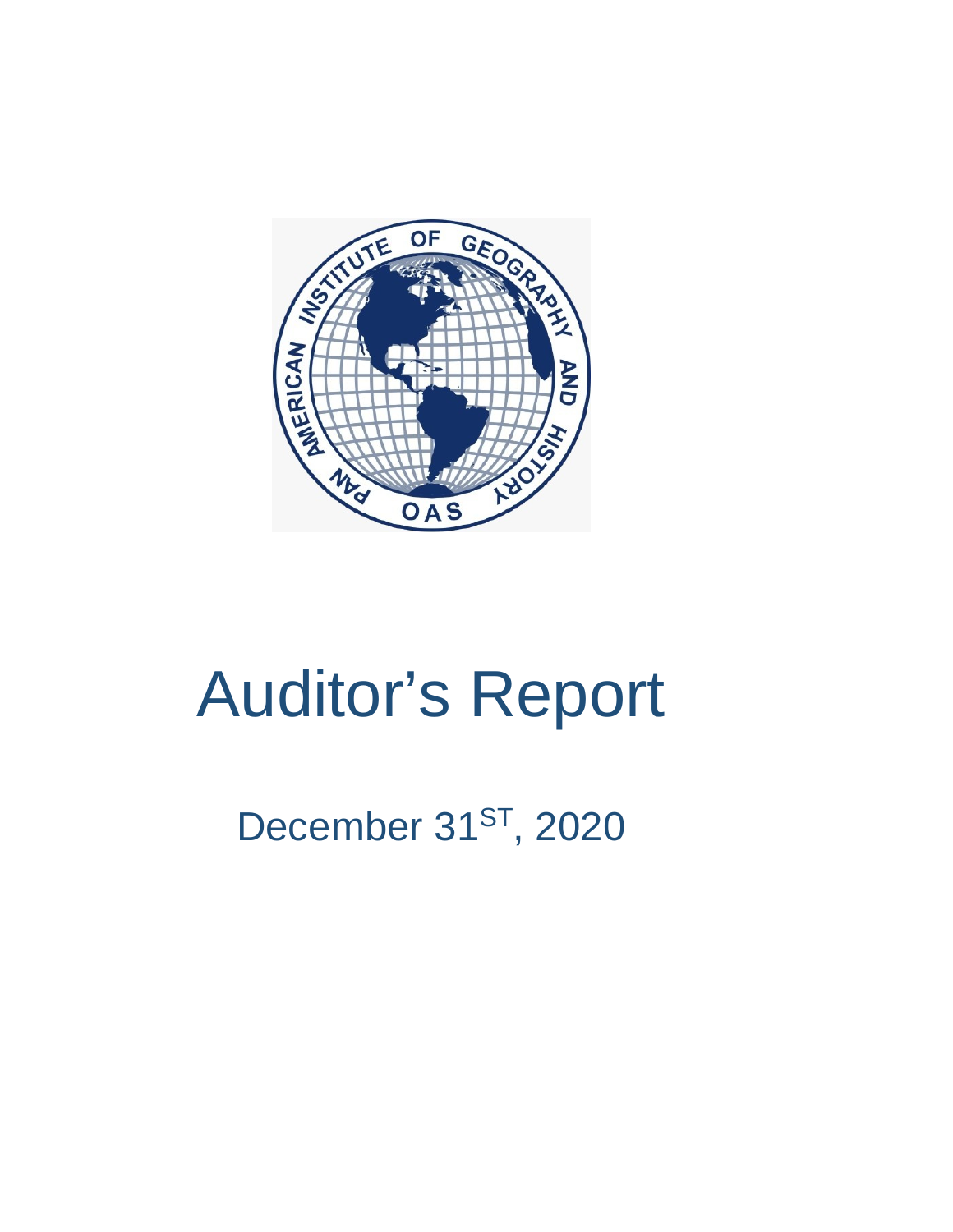

# Auditor's Report

# December 31<sup>ST</sup>, 2020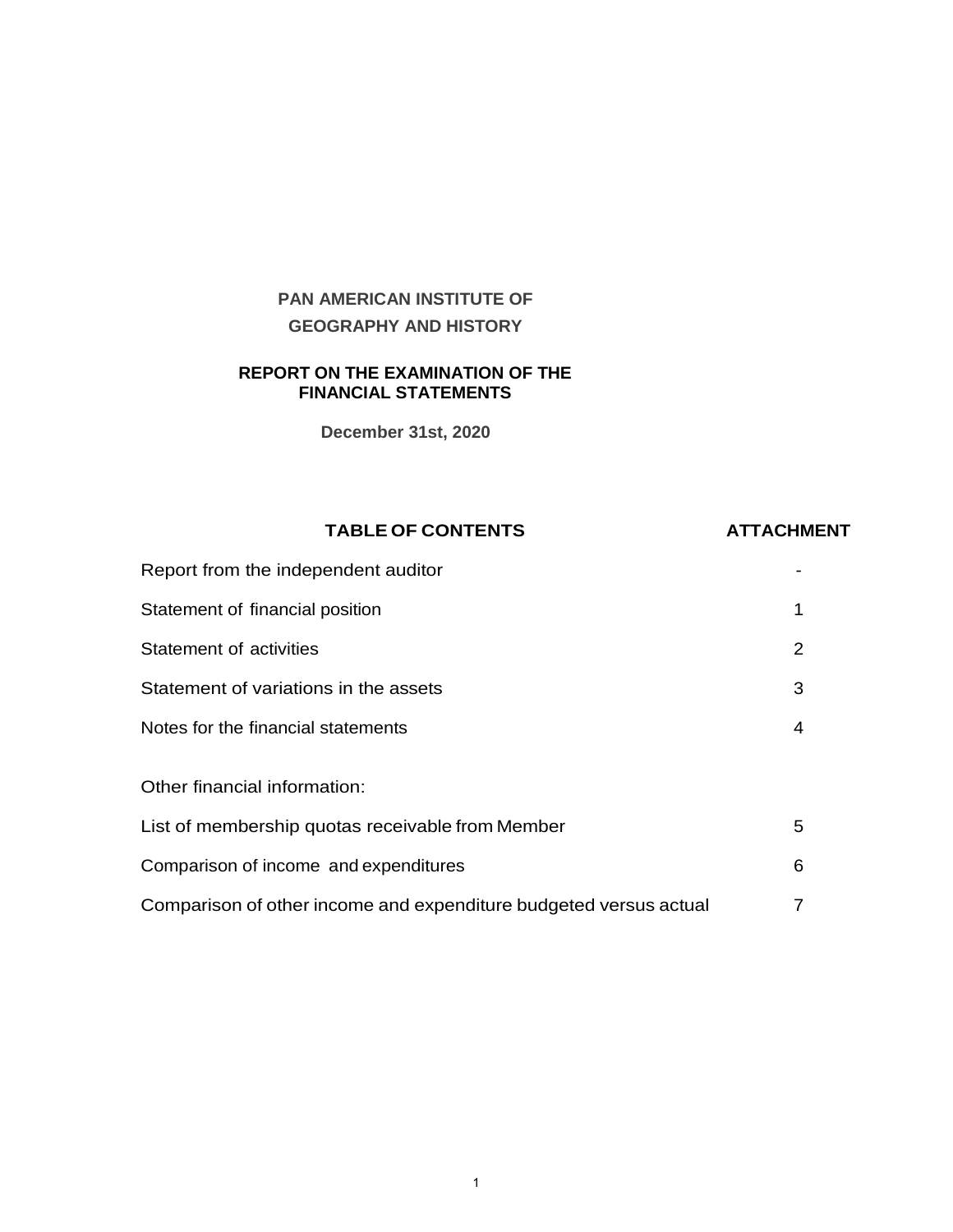# **PAN AMERICAN INSTITUTE OF GEOGRAPHY AND HISTORY**

#### **REPORT ON THE EXAMINATION OF THE FINANCIAL STATEMENTS**

**December 31st, 2020**

#### **TABLE OF CONTENTS ATTACHMENT**

| Report from the independent auditor                               |   |
|-------------------------------------------------------------------|---|
| Statement of financial position                                   | 1 |
| Statement of activities                                           | 2 |
| Statement of variations in the assets                             | 3 |
| Notes for the financial statements                                | 4 |
|                                                                   |   |
| Other financial information:                                      |   |
| List of membership quotas receivable from Member                  | 5 |
| Comparison of income and expenditures                             | 6 |
| Comparison of other income and expenditure budgeted versus actual | 7 |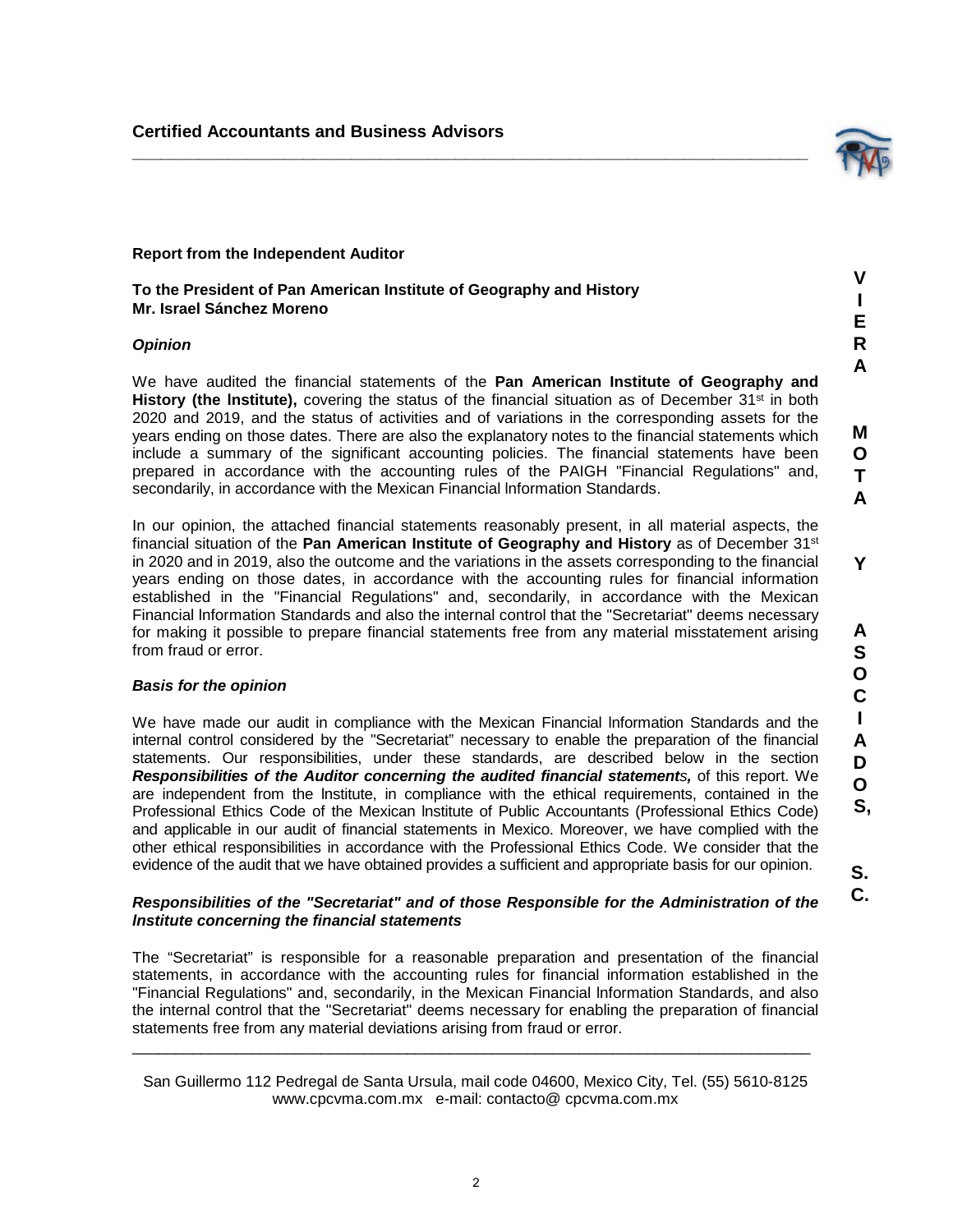#### **Report from the Independent Auditor**

**To the President of Pan American Institute of Geography and History Mr. Israel Sánchez Moreno**

#### *Opinion*

We have audited the financial statements of the **Pan American Institute of Geography and History (the Institute),** covering the status of the financial situation as of December 31<sup>st</sup> in both 2020 and 2019, and the status of activities and of variations in the corresponding assets for the years ending on those dates. There are also the explanatory notes to the financial statements which include a summary of the significant accounting policies. The financial statements have been prepared in accordance with the accounting rules of the PAIGH "Financial Regulations" and, secondarily, in accordance with the Mexican Financial Information Standards.

<span id="page-2-0"></span>**\_\_\_\_\_\_\_\_\_\_\_\_\_\_\_\_\_\_\_\_\_\_\_\_\_\_\_\_\_\_\_\_\_\_\_\_\_\_\_\_\_\_\_\_\_\_\_\_\_\_\_\_\_\_\_\_\_\_\_\_\_\_\_\_\_\_\_\_\_\_\_**

In our opinion, the attached financial statements reasonably present, in all material aspects, the financial situation of the **Pan American Institute of Geography and History** as of December 31st in 2020 and in 2019, also the outcome and the variations in the assets corresponding to the financial years ending on those dates, in accordance with the accounting rules for financial information established in the "Financial Regulations" and, secondarily, in accordance with the Mexican Financial lnformation Standards and also the internal control that the "Secretariat" deems necessary for making it possible to prepare financial statements free from any material misstatement arising from fraud or error.

#### *Basis for the opinion*

We have made our audit in compliance with the Mexican Financial lnformation Standards and the internal control considered by the "Secretariat" necessary to enable the preparation of the financial statements. Our responsibilities, under these standards, are described below in the section *Responsibilities of the Auditor concerning the audited financial statements,* of this report. We are independent from the lnstitute, in compliance with the ethical requirements, contained in the Professional Ethics Code of the Mexican lnstitute of Public Accountants (Professional Ethics Code) and applicable in our audit of financial statements in Mexico. Moreover, we have complied with the other ethical responsibilities in accordance with the Professional Ethics Code. We consider that the evidence of the audit that we have obtained provides a sufficient and appropriate basis for our opinion.

#### *Responsibilities of the "Secretariat" and of those Responsible for the Administration of the lnstitute concerning the financial statements*

The "Secretariat" is responsible for a reasonable preparation and presentation of the financial statements, in accordance with the accounting rules for financial information established in the "Financial Regulations" and, secondarily, in the Mexican Financial lnformation Standards, and also the internal control that the "Secretariat" deems necessary for enabling the preparation of financial statements free from any material deviations arising from fraud or error.

San Guillermo 112 Pedregal de Santa Ursula, mail code 04600, Mexico City, Tel. (55) 5610-8125 www.cpcvma.com.mx e-mail: contacto@ cpcvma.com.mx

\_\_\_\_\_\_\_\_\_\_\_\_\_\_\_\_\_\_\_\_\_\_\_\_\_\_\_\_\_\_\_\_\_\_\_\_\_\_\_\_\_\_\_\_\_\_\_\_\_\_\_\_\_\_\_\_\_\_\_\_\_\_\_\_\_\_\_\_\_\_\_\_\_\_\_\_\_\_\_

**O .S,**

**S. C.**



**V I E R A**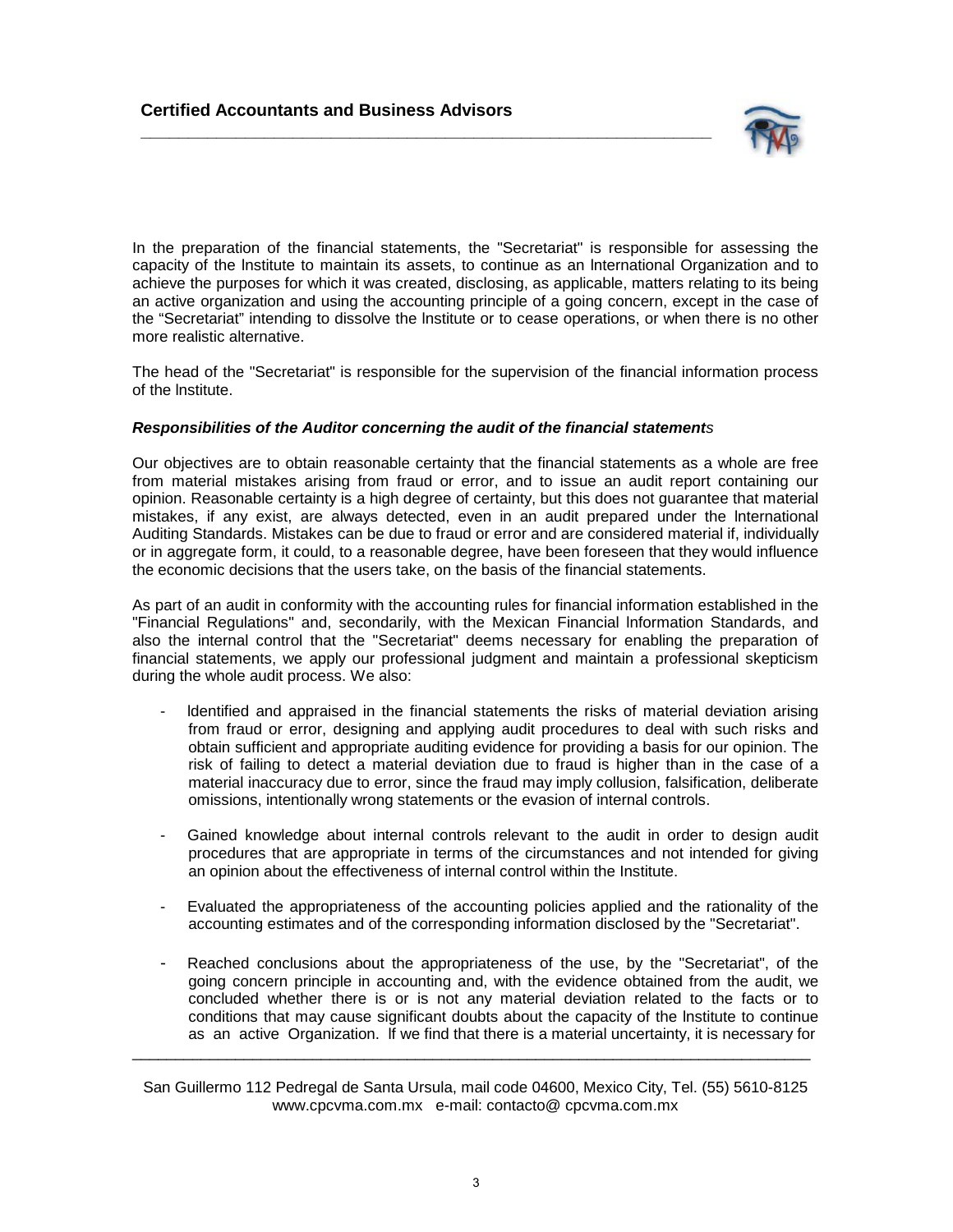

In the preparation of the financial statements, the "Secretariat" is responsible for assessing the capacity of the lnstitute to maintain its assets, to continue as an lnternational Organization and to achieve the purposes for which it was created, disclosing, as applicable, matters relating to its being an active organization and using the accounting principle of a going concern, except in the case of the "Secretariat" intending to dissolve the lnstitute or to cease operations, or when there is no other more realistic alternative.

The head of the "Secretariat" is responsible for the supervision of the financial information process of the lnstitute.

#### *Responsibilities of the Auditor concerning the audit of the financial statements*

**\_\_\_\_\_\_\_\_\_\_\_\_\_\_\_\_\_\_\_\_\_\_\_\_\_\_\_\_\_\_\_\_\_\_\_\_\_\_\_\_\_\_\_\_\_\_\_\_\_\_\_\_\_\_\_\_\_\_\_\_**

Our objectives are to obtain reasonable certainty that the financial statements as a whole are free from material mistakes arising from fraud or error, and to issue an audit report containing our opinion. Reasonable certainty is a high degree of certainty, but this does not guarantee that material mistakes, if any exist, are always detected, even in an audit prepared under the lnternational Auditing Standards. Mistakes can be due to fraud or error and are considered material if, individually or in aggregate form, it could, to a reasonable degree, have been foreseen that they would influence the economic decisions that the users take, on the basis of the financial statements.

As part of an audit in conformity with the accounting rules for financial information established in the "Financial Regulations" and, secondarily, with the Mexican Financial lnformation Standards, and also the internal control that the "Secretariat" deems necessary for enabling the preparation of financial statements, we apply our professional judgment and maintain a professional skepticism during the whole audit process. We also:

- Identified and appraised in the financial statements the risks of material deviation arising from fraud or error, designing and applying audit procedures to deal with such risks and obtain sufficient and appropriate auditing evidence for providing a basis for our opinion. The risk of failing to detect a material deviation due to fraud is higher than in the case of a material inaccuracy due to error, since the fraud may imply collusion, falsification, deliberate omissions, intentionally wrong statements or the evasion of internal controls.
- Gained knowledge about internal controls relevant to the audit in order to design audit procedures that are appropriate in terms of the circumstances and not intended for giving an opinion about the effectiveness of internal control within the Institute.
- Evaluated the appropriateness of the accounting policies applied and the rationality of the accounting estimates and of the corresponding information disclosed by the "Secretariat".
- Reached conclusions about the appropriateness of the use, by the "Secretariat", of the going concern principle in accounting and, with the evidence obtained from the audit, we concluded whether there is or is not any material deviation related to the facts or to conditions that may cause significant doubts about the capacity of the lnstitute to continue as an active Organization. lf we find that there is a material uncertainty, it is necessary for

San Guillermo 112 Pedregal de Santa Ursula, mail code 04600, Mexico City, Tel. (55) 5610-8125 www.cpcvma.com.mx e-mail: contacto@ cpcvma.com.mx

\_\_\_\_\_\_\_\_\_\_\_\_\_\_\_\_\_\_\_\_\_\_\_\_\_\_\_\_\_\_\_\_\_\_\_\_\_\_\_\_\_\_\_\_\_\_\_\_\_\_\_\_\_\_\_\_\_\_\_\_\_\_\_\_\_\_\_\_\_\_\_\_\_\_\_\_\_\_\_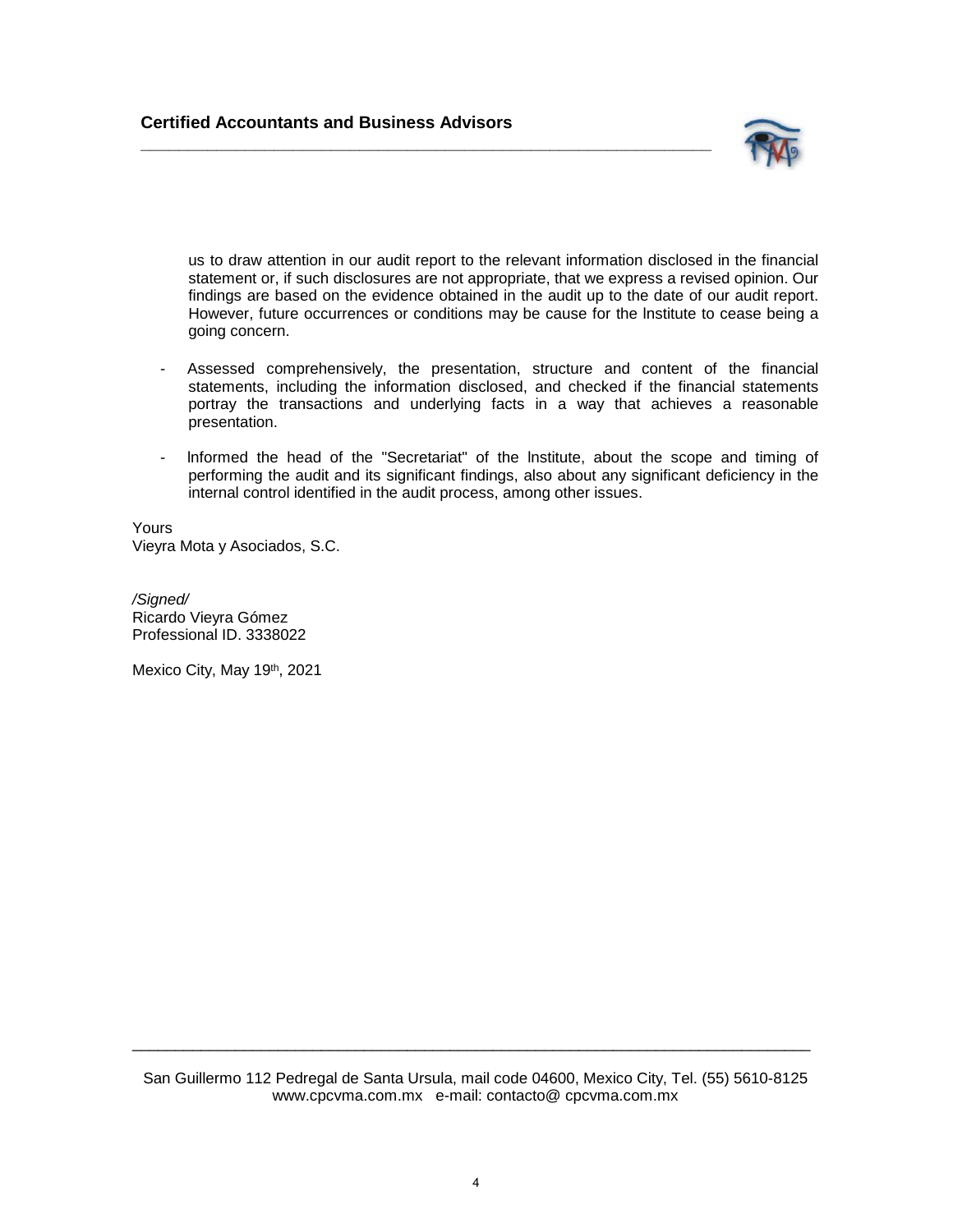**\_\_\_\_\_\_\_\_\_\_\_\_\_\_\_\_\_\_\_\_\_\_\_\_\_\_\_\_\_\_\_\_\_\_\_\_\_\_\_\_\_\_\_\_\_\_\_\_\_\_\_\_\_\_\_\_\_\_\_\_**



us to draw attention in our audit report to the relevant information disclosed in the financial statement or, if such disclosures are not appropriate, that we express a revised opinion. Our findings are based on the evidence obtained in the audit up to the date of our audit report. However, future occurrences or conditions may be cause for the lnstitute to cease being a going concern.

- Assessed comprehensively, the presentation, structure and content of the financial statements, including the information disclosed, and checked if the financial statements portray the transactions and underlying facts in a way that achieves a reasonable presentation.
- Informed the head of the "Secretariat" of the Institute, about the scope and timing of performing the audit and its significant findings, also about any significant deficiency in the internal control identified in the audit process, among other issues.

Yours Vieyra Mota y Asociados, S.C.

*/Signed/* Ricardo Vieyra Gómez Professional ID. 3338022

Mexico City, May 19th, 2021

San Guillermo 112 Pedregal de Santa Ursula, mail code 04600, Mexico City, Tel. (55) 5610-8125 www.cpcvma.com.mx e-mail: contacto@ cpcvma.com.mx

\_\_\_\_\_\_\_\_\_\_\_\_\_\_\_\_\_\_\_\_\_\_\_\_\_\_\_\_\_\_\_\_\_\_\_\_\_\_\_\_\_\_\_\_\_\_\_\_\_\_\_\_\_\_\_\_\_\_\_\_\_\_\_\_\_\_\_\_\_\_\_\_\_\_\_\_\_\_\_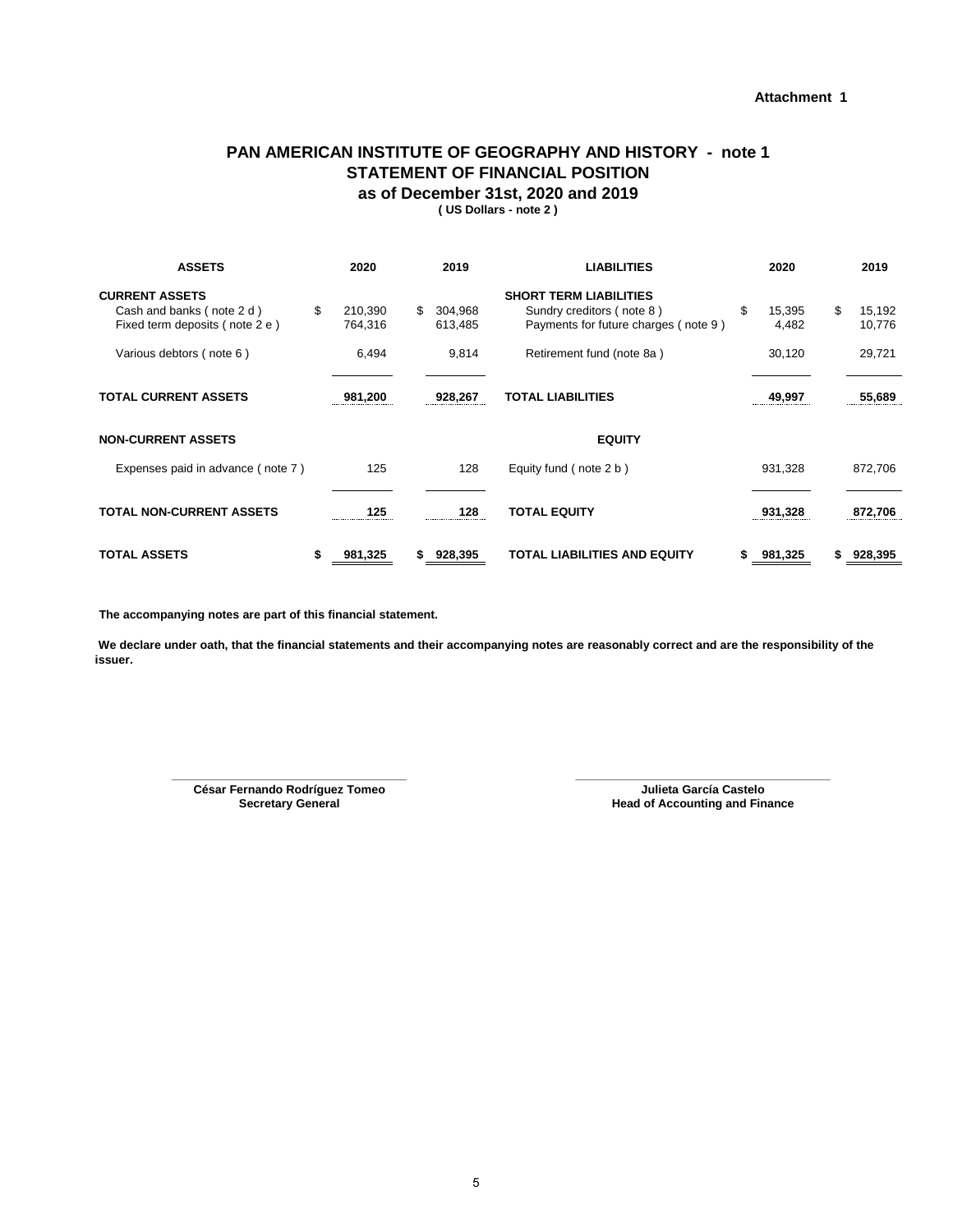#### **Attachment 1**

#### <span id="page-5-0"></span>**PAN AMERICAN INSTITUTE OF GEOGRAPHY AND HISTORY - note 1 STATEMENT OF FINANCIAL POSITION as of December 31st, 2020 and 2019**

**( US Dollars - note 2 )**

| <b>ASSETS</b>                                                                        | 2020                     |     | 2019               | <b>LIABILITIES</b>                                                                                 | 2020                  | 2019                   |
|--------------------------------------------------------------------------------------|--------------------------|-----|--------------------|----------------------------------------------------------------------------------------------------|-----------------------|------------------------|
| <b>CURRENT ASSETS</b><br>Cash and banks (note 2 d)<br>Fixed term deposits (note 2 e) | \$<br>210,390<br>764,316 | \$. | 304,968<br>613,485 | <b>SHORT TERM LIABILITIES</b><br>Sundry creditors (note 8)<br>Payments for future charges (note 9) | \$<br>15,395<br>4,482 | \$<br>15,192<br>10,776 |
| Various debtors (note 6)                                                             | 6,494                    |     | 9,814              | Retirement fund (note 8a)                                                                          | 30,120                | 29,721                 |
| <b>TOTAL CURRENT ASSETS</b>                                                          | 981,200                  |     | 928,267            | <b>TOTAL LIABILITIES</b>                                                                           | 49,997                | 55,689                 |
| <b>NON-CURRENT ASSETS</b>                                                            |                          |     |                    | <b>EQUITY</b>                                                                                      |                       |                        |
| Expenses paid in advance (note 7)                                                    | 125                      |     | 128                | Equity fund (note 2 b)                                                                             | 931,328               | 872,706                |
| <b>TOTAL NON-CURRENT ASSETS</b>                                                      | 125<br>                  |     | 128<br>            | <b>TOTAL EQUITY</b>                                                                                | 931,328               | 872,706                |
| <b>TOTAL ASSETS</b>                                                                  | \$<br>981,325            |     | 928,395            | TOTAL LIABILITIES AND EQUITY                                                                       | 981,325               | 928,395                |

**The accompanying notes are part of this financial statement.**

 **We declare under oath, that the financial statements and their accompanying notes are reasonably correct and are the responsibility of the issuer.** 

> **César Fernando Rodríguez Tomeo Secretary General \_\_\_\_\_\_\_\_\_\_\_\_\_\_\_\_\_\_\_\_\_\_\_\_\_\_\_\_\_\_\_\_\_\_\_\_ \_\_\_\_\_\_\_\_\_\_\_\_\_\_\_\_\_\_\_\_\_\_\_\_\_\_\_\_\_\_\_\_\_\_\_\_\_\_\_**

**Julieta García Castelo Head of Accounting and Finance**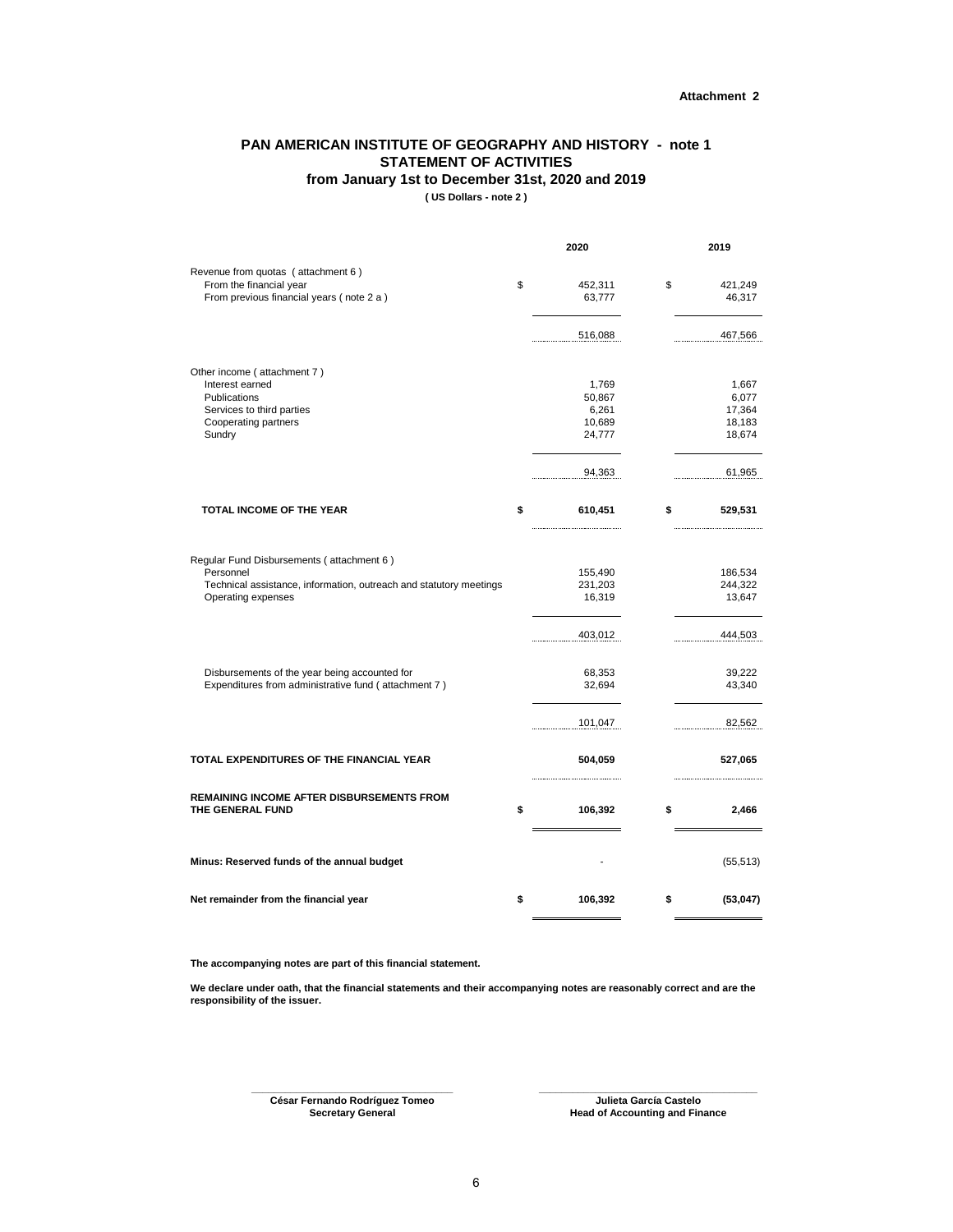#### <span id="page-6-0"></span>**PAN AMERICAN INSTITUTE OF GEOGRAPHY AND HISTORY - note 1 STATEMENT OF ACTIVITIES**

**from January 1st to December 31st, 2020 and 2019**

**( US Dollars - note 2 )**

|                                                                                                                                                    | 2020                                         | 2019                                         |
|----------------------------------------------------------------------------------------------------------------------------------------------------|----------------------------------------------|----------------------------------------------|
| Revenue from quotas (attachment 6)<br>From the financial year<br>From previous financial years (note 2 a)                                          | \$<br>452,311<br>63,777                      | \$<br>421,249<br>46,317                      |
|                                                                                                                                                    | 516,088                                      | 467,566                                      |
| Other income (attachment 7)<br>Interest earned<br>Publications<br>Services to third parties<br>Cooperating partners<br>Sundry                      | 1,769<br>50,867<br>6,261<br>10,689<br>24,777 | 1,667<br>6,077<br>17,364<br>18,183<br>18,674 |
|                                                                                                                                                    | 94,363                                       | 61,965                                       |
| TOTAL INCOME OF THE YEAR                                                                                                                           | \$<br>610,451                                | \$<br>529,531                                |
| Regular Fund Disbursements (attachment 6)<br>Personnel<br>Technical assistance, information, outreach and statutory meetings<br>Operating expenses | 155,490<br>231,203<br>16,319                 | 186,534<br>244,322<br>13,647                 |
| Disbursements of the year being accounted for<br>Expenditures from administrative fund (attachment 7)                                              | 403,012<br>68,353<br>32,694                  | 444,503<br>39,222<br>43,340                  |
|                                                                                                                                                    | 101,047                                      | 82,562                                       |
| TOTAL EXPENDITURES OF THE FINANCIAL YEAR                                                                                                           | 504,059                                      | 527,065                                      |
| <b>REMAINING INCOME AFTER DISBURSEMENTS FROM</b><br>THE GENERAL FUND                                                                               | \$<br>106,392                                | \$<br>2,466                                  |
| Minus: Reserved funds of the annual budget                                                                                                         |                                              | (55, 513)                                    |
| Net remainder from the financial year                                                                                                              | \$<br>106,392                                | \$<br>(53,047)                               |

**The accompanying notes are part of this financial statement.**

**We declare under oath, that the financial statements and their accompanying notes are reasonably correct and are the responsibility of the issuer.**

> **\_\_\_\_\_\_\_\_\_\_\_\_\_\_\_\_\_\_\_\_\_\_\_\_\_\_\_\_\_\_\_\_\_\_\_\_ César Fernando Rodríguez Tomeo**

**Secretary General Head of Accounting and Finance \_\_\_\_\_\_\_\_\_\_\_\_\_\_\_\_\_\_\_\_\_\_\_\_\_\_\_\_\_\_\_\_\_\_\_\_\_\_\_ Julieta García Castelo**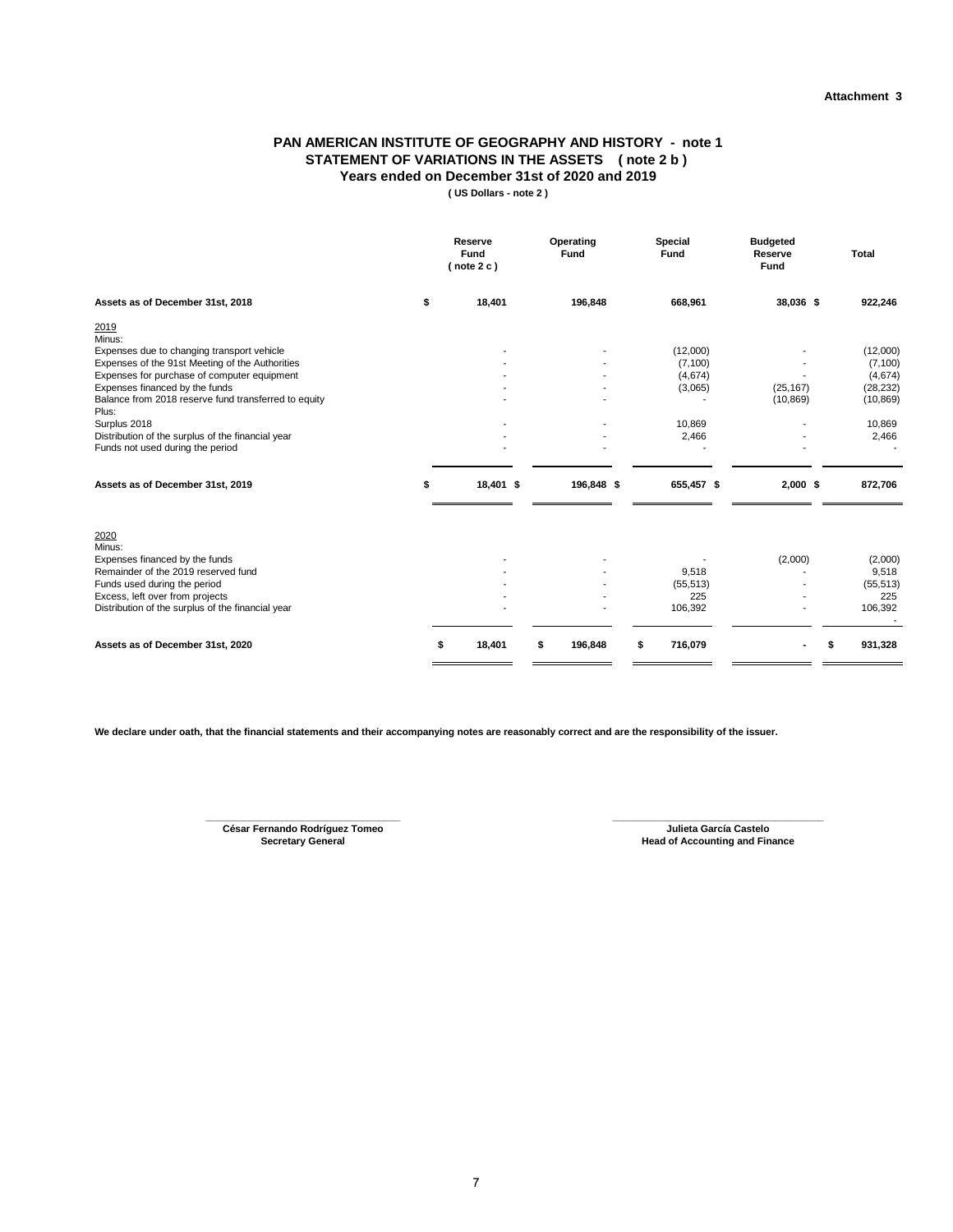#### **PAN AMERICAN INSTITUTE OF GEOGRAPHY AND HISTORY - note 1 STATEMENT OF VARIATIONS IN THE ASSETS ( note 2 b ) Years ended on December 31st of 2020 and 2019**

**( US Dollars - note 2 )**

<span id="page-7-0"></span>

|                                                                                                 | Reserve<br>Fund<br>(note 2 c) | Operating<br><b>Fund</b> | <b>Special</b><br>Fund | <b>Budgeted</b><br>Reserve<br>Fund | <b>Total</b>           |
|-------------------------------------------------------------------------------------------------|-------------------------------|--------------------------|------------------------|------------------------------------|------------------------|
| Assets as of December 31st, 2018                                                                | \$<br>18,401                  | 196,848                  | 668,961                | 38,036 \$                          | 922,246                |
| 2019<br>Minus:                                                                                  |                               |                          |                        |                                    |                        |
| Expenses due to changing transport vehicle                                                      |                               |                          | (12,000)               |                                    | (12,000)               |
| Expenses of the 91st Meeting of the Authorities                                                 |                               |                          | (7, 100)               |                                    | (7, 100)               |
| Expenses for purchase of computer equipment                                                     |                               |                          | (4,674)                | (25, 167)                          | (4,674)                |
| Expenses financed by the funds<br>Balance from 2018 reserve fund transferred to equity<br>Plus: |                               |                          | (3,065)                | (10, 869)                          | (28, 232)<br>(10, 869) |
| Surplus 2018                                                                                    |                               |                          | 10,869                 |                                    | 10,869                 |
| Distribution of the surplus of the financial year                                               |                               |                          | 2,466                  |                                    | 2,466                  |
| Funds not used during the period                                                                |                               |                          |                        |                                    |                        |
| Assets as of December 31st, 2019                                                                | \$<br>18,401 \$               | 196,848 \$               | 655,457 \$             | $2,000$ \$                         | 872,706                |
| 2020<br>Minus:                                                                                  |                               |                          |                        |                                    |                        |
| Expenses financed by the funds                                                                  |                               |                          |                        | (2,000)                            | (2,000)                |
| Remainder of the 2019 reserved fund                                                             |                               |                          | 9,518                  |                                    | 9,518                  |
| Funds used during the period                                                                    |                               |                          | (55, 513)              |                                    | (55, 513)              |
| Excess, left over from projects                                                                 |                               |                          | 225                    |                                    | 225                    |
| Distribution of the surplus of the financial year                                               |                               |                          | 106,392                |                                    | 106,392                |
| Assets as of December 31st, 2020                                                                | 18,401<br>\$                  | \$<br>196,848            | \$<br>716,079          |                                    | \$<br>931,328          |

**We declare under oath, that the financial statements and their accompanying notes are reasonably correct and are the responsibility of the issuer.**

**Secretary General \_\_\_\_\_\_\_\_\_\_\_\_\_\_\_\_\_\_\_\_\_\_\_\_\_\_\_\_\_\_\_\_\_\_\_\_ César Fernando Rodríguez Tomeo** **\_\_\_\_\_\_\_\_\_\_\_\_\_\_\_\_\_\_\_\_\_\_\_\_\_\_\_\_\_\_\_\_\_\_\_\_\_\_\_ Julieta García Castelo Head of Accounting and Finance**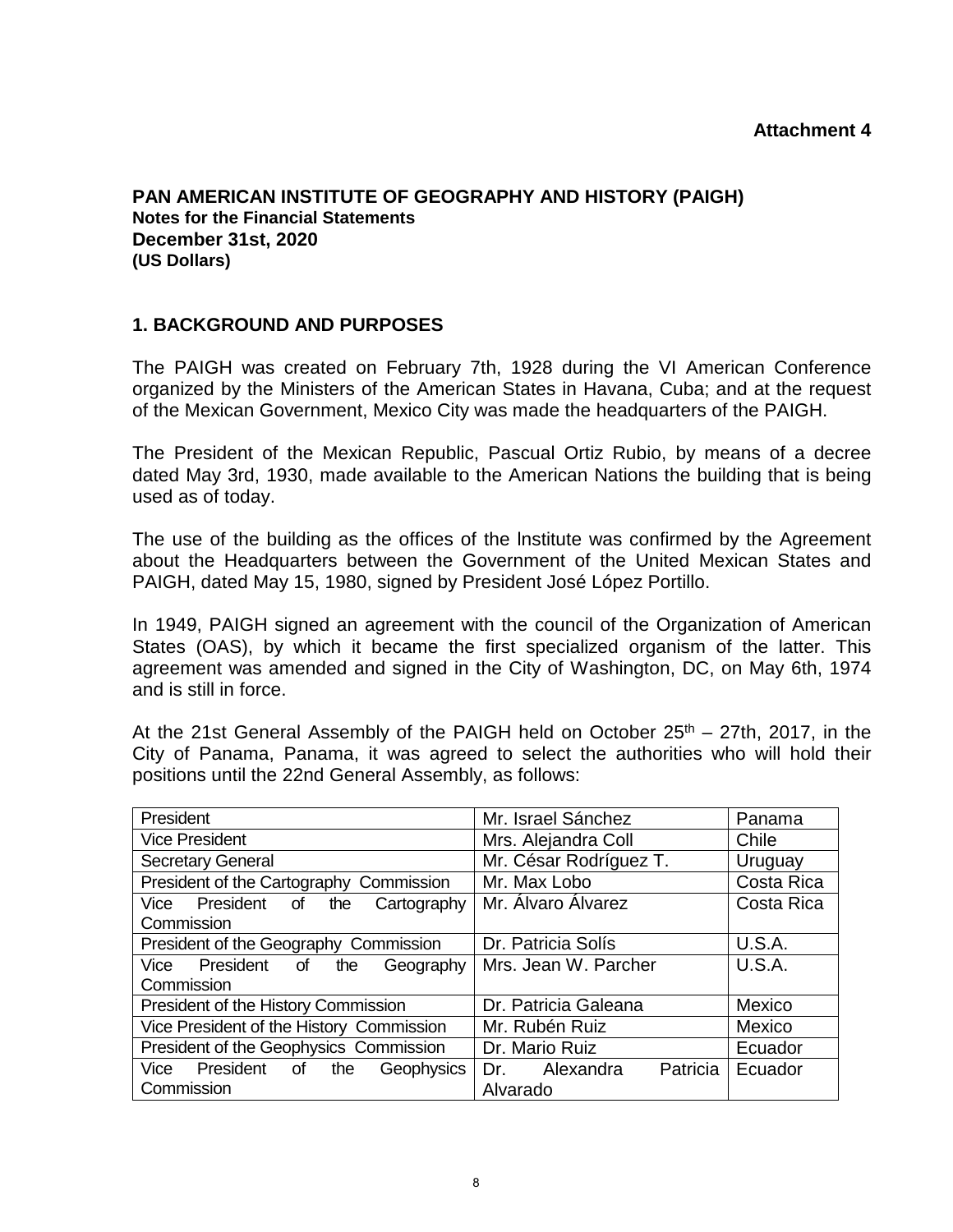#### **Attachment 4**

<span id="page-8-0"></span>**PAN AMERICAN INSTITUTE OF GEOGRAPHY AND HISTORY (PAIGH) Notes for the Financial Statements December 31st, 2020 (US Dollars)** 

#### **1. BACKGROUND AND PURPOSES**

The PAIGH was created on February 7th, 1928 during the VI American Conference organized by the Ministers of the American States in Havana, Cuba; and at the request of the Mexican Government, Mexico City was made the headquarters of the PAIGH.

The President of the Mexican Republic, Pascual Ortiz Rubio, by means of a decree dated May 3rd, 1930, made available to the American Nations the building that is being used as of today.

The use of the building as the offices of the lnstitute was confirmed by the Agreement about the Headquarters between the Government of the United Mexican States and PAIGH, dated May 15, 1980, signed by President José López Portillo.

In 1949, PAIGH signed an agreement with the council of the Organization of American States (OAS), by which it became the first specialized organism of the latter. This agreement was amended and signed in the City of Washington, DC, on May 6th, 1974 and is still in force.

At the 21st General Assembly of the PAIGH held on October  $25<sup>th</sup> - 27th$ , 2017, in the City of Panama, Panama, it was agreed to select the authorities who will hold their positions until the 22nd General Assembly, as follows:

| President                                                | Mr. Israel Sánchez           | Panama        |
|----------------------------------------------------------|------------------------------|---------------|
| <b>Vice President</b>                                    | Mrs. Alejandra Coll          | Chile         |
| <b>Secretary General</b>                                 | Mr. César Rodríguez T.       | Uruguay       |
| President of the Cartography Commission                  | Mr. Max Lobo                 | Costa Rica    |
| President of<br>Vice<br>Cartography<br>the<br>Commission | Mr. Álvaro Álvarez           | Costa Rica    |
| President of the Geography Commission                    | Dr. Patricia Solís           | <b>U.S.A.</b> |
| President of<br>Vice<br>the<br>Geography                 | Mrs. Jean W. Parcher         | U.S.A.        |
| Commission                                               |                              |               |
| President of the History Commission                      | Dr. Patricia Galeana         | Mexico        |
| Vice President of the History Commission                 | Mr. Rubén Ruiz               | Mexico        |
| President of the Geophysics Commission                   | Dr. Mario Ruiz               | Ecuador       |
| President<br>Vice<br>of<br>Geophysics<br>the             | Patricia<br>Alexandra<br>Dr. | Ecuador       |
| Commission                                               | Alvarado                     |               |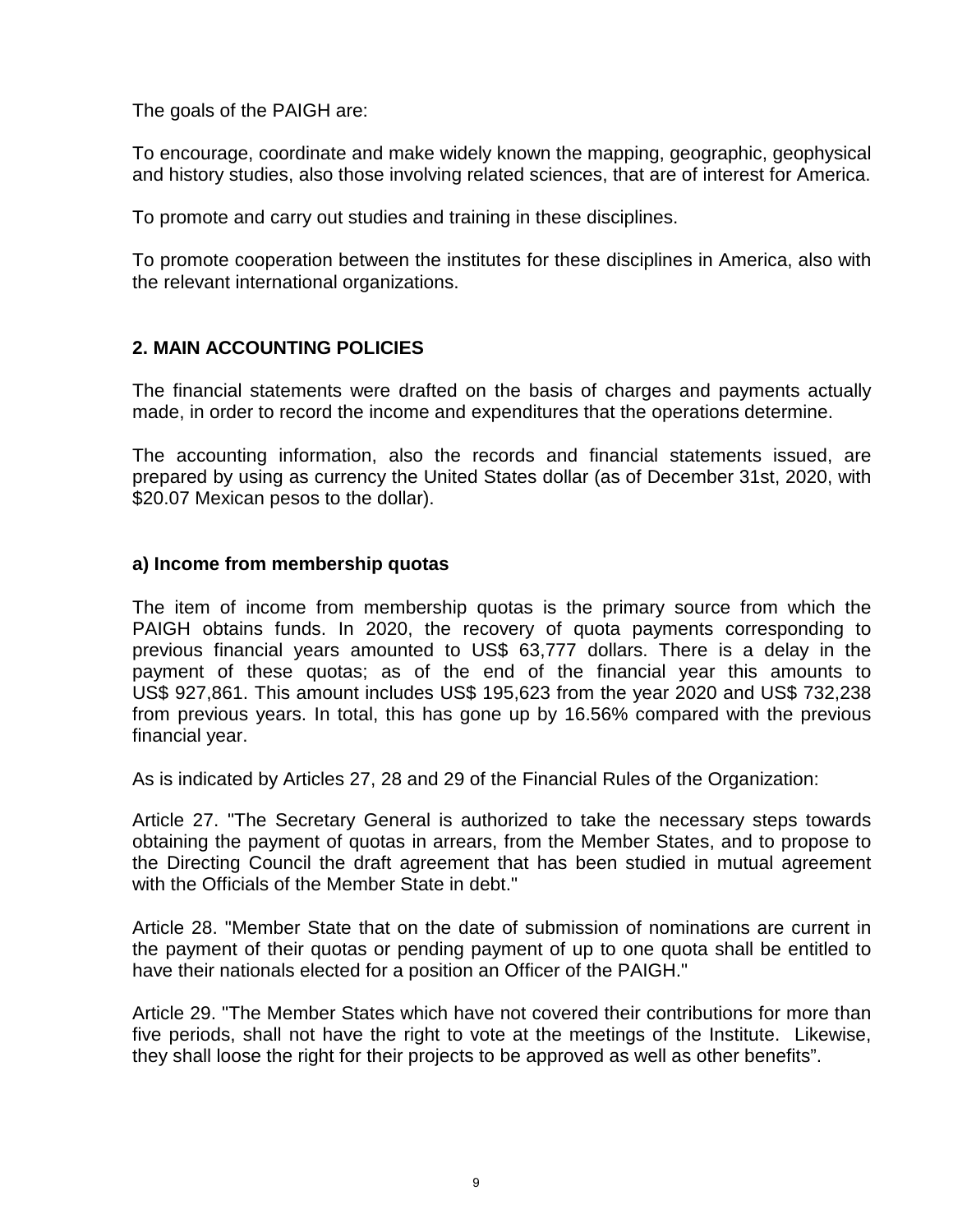The goals of the PAIGH are:

To encourage, coordinate and make widely known the mapping, geographic, geophysical and history studies, also those involving related sciences, that are of interest for America.

To promote and carry out studies and training in these disciplines.

To promote cooperation between the institutes for these disciplines in America, also with the relevant international organizations.

#### **2. MAIN ACCOUNTING POLICIES**

The financial statements were drafted on the basis of charges and payments actually made, in order to record the income and expenditures that the operations determine.

The accounting information, also the records and financial statements issued, are prepared by using as currency the United States dollar (as of December 31st, 2020, with \$20.07 Mexican pesos to the dollar).

#### **a) Income from membership quotas**

The item of income from membership quotas is the primary source from which the PAIGH obtains funds. In 2020, the recovery of quota payments corresponding to previous financial years amounted to US\$ 63,777 dollars. There is a delay in the payment of these quotas; as of the end of the financial year this amounts to US\$ 927,861. This amount includes US\$ 195,623 from the year 2020 and US\$ 732,238 from previous years. In total, this has gone up by 16.56% compared with the previous financial year.

As is indicated by Articles 27, 28 and 29 of the Financial Rules of the Organization:

Article 27. "The Secretary General is authorized to take the necessary steps towards obtaining the payment of quotas in arrears, from the Member States, and to propose to the Directing Council the draft agreement that has been studied in mutual agreement with the Officials of the Member State in debt."

Article 28. "Member State that on the date of submission of nominations are current in the payment of their quotas or pending payment of up to one quota shall be entitled to have their nationals elected for a position an Officer of the PAIGH."

Article 29. "The Member States which have not covered their contributions for more than five periods, shall not have the right to vote at the meetings of the Institute. Likewise, they shall loose the right for their projects to be approved as well as other benefits".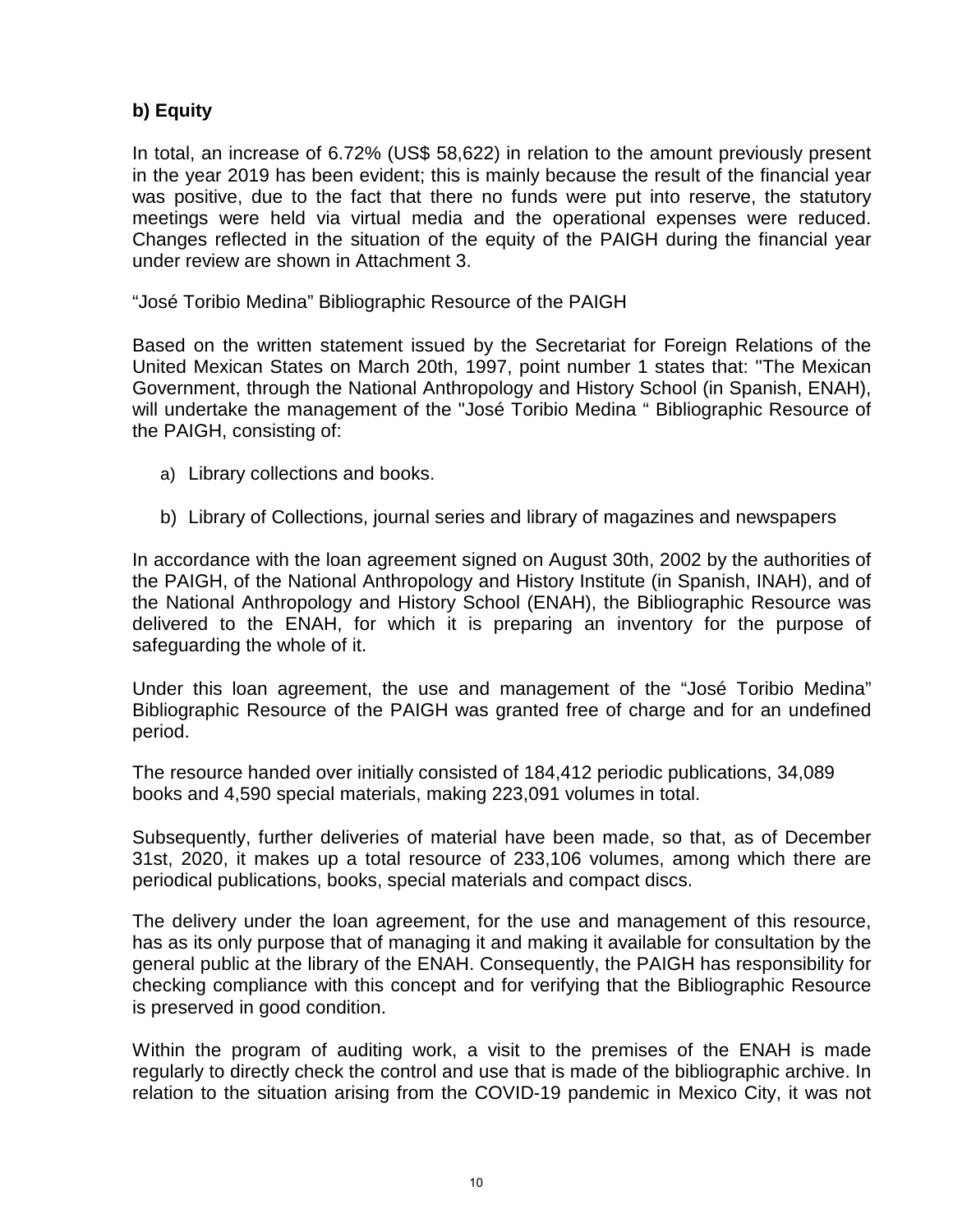# **b) Equity**

In total, an increase of 6.72% (US\$ 58,622) in relation to the amount previously present in the year 2019 has been evident; this is mainly because the result of the financial year was positive, due to the fact that there no funds were put into reserve, the statutory meetings were held via virtual media and the operational expenses were reduced. Changes reflected in the situation of the equity of the PAIGH during the financial year under review are shown in Attachment 3.

"José Toribio Medina" Bibliographic Resource of the PAIGH

Based on the written statement issued by the Secretariat for Foreign Relations of the United Mexican States on March 20th, 1997, point number 1 states that: ''The Mexican Government, through the National Anthropology and History School (in Spanish, ENAH), will undertake the management of the "José Toribio Medina " Bibliographic Resource of the PAIGH, consisting of:

- a) Library collections and books.
- b) Library of Collections, journal series and library of magazines and newspapers

In accordance with the loan agreement signed on August 30th, 2002 by the authorities of the PAIGH, of the National Anthropology and History Institute (in Spanish, INAH), and of the National Anthropology and History School (ENAH), the Bibliographic Resource was delivered to the ENAH, for which it is preparing an inventory for the purpose of safeguarding the whole of it.

Under this loan agreement, the use and management of the "José Toribio Medina" Bibliographic Resource of the PAIGH was granted free of charge and for an undefined period.

The resource handed over initially consisted of 184,412 periodic publications, 34,089 books and 4,590 special materials, making 223,091 volumes in total.

Subsequently, further deliveries of material have been made, so that, as of December 31st, 2020, it makes up a total resource of 233,106 volumes, among which there are periodical publications, books, special materials and compact discs.

The delivery under the loan agreement, for the use and management of this resource, has as its only purpose that of managing it and making it available for consultation by the general public at the library of the ENAH. Consequently, the PAIGH has responsibility for checking compliance with this concept and for verifying that the Bibliographic Resource is preserved in good condition.

Within the program of auditing work, a visit to the premises of the ENAH is made regularly to directly check the control and use that is made of the bibliographic archive. In relation to the situation arising from the COVID-19 pandemic in Mexico City, it was not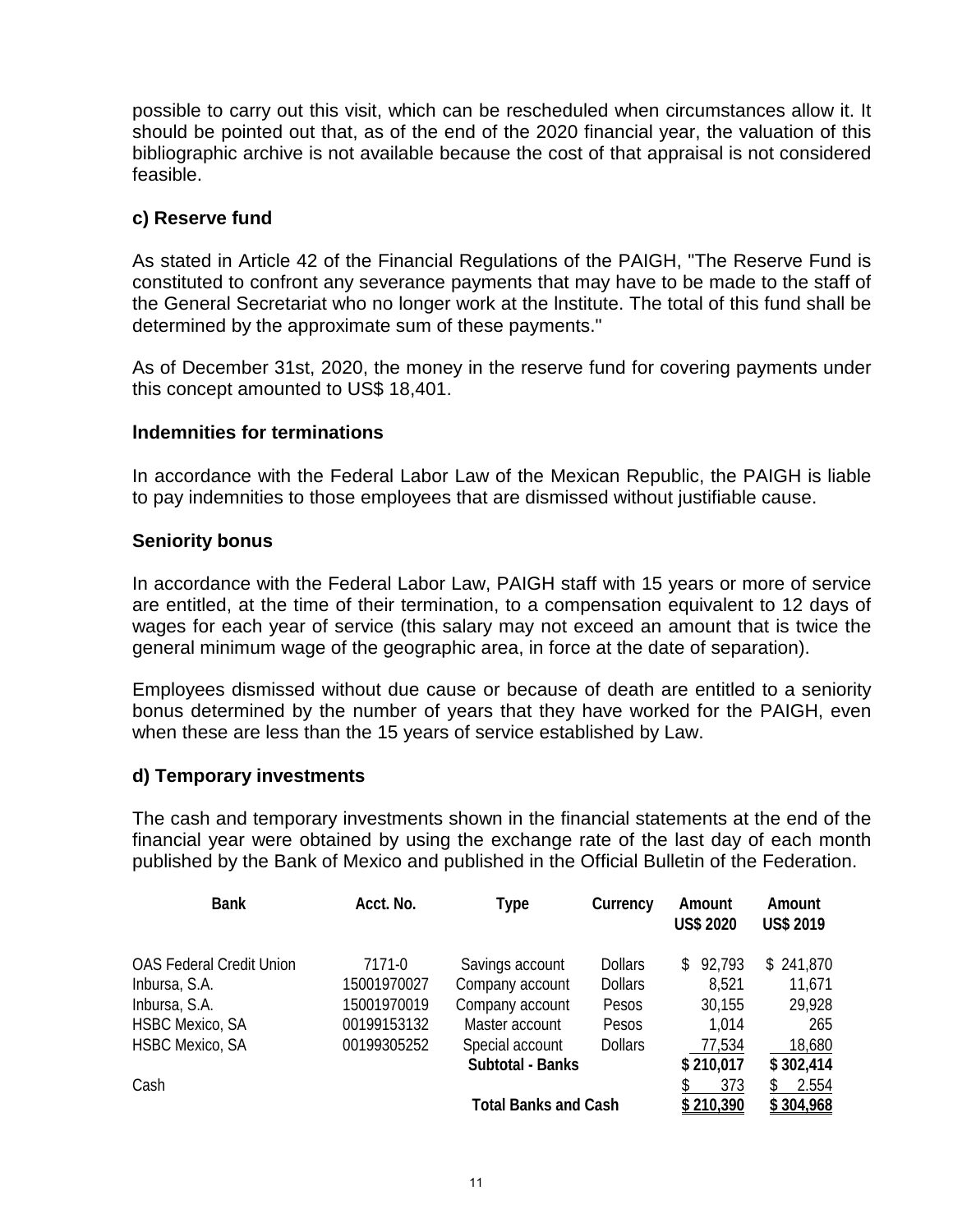possible to carry out this visit, which can be rescheduled when circumstances allow it. It should be pointed out that, as of the end of the 2020 financial year, the valuation of this bibliographic archive is not available because the cost of that appraisal is not considered feasible.

#### **c) Reserve fund**

As stated in Article 42 of the Financial Regulations of the PAIGH, "The Reserve Fund is constituted to confront any severance payments that may have to be made to the staff of the General Secretariat who no longer work at the lnstitute. The total of this fund shall be determined by the approximate sum of these payments."

As of December 31st, 2020, the money in the reserve fund for covering payments under this concept amounted to US\$ 18,401.

#### **lndemnities for terminations**

In accordance with the Federal Labor Law of the Mexican Republic, the PAIGH is liable to pay indemnities to those employees that are dismissed without justifiable cause.

#### **Seniority bonus**

In accordance with the Federal Labor Law, PAIGH staff with 15 years or more of service are entitled, at the time of their termination, to a compensation equivalent to 12 days of wages for each year of service (this salary may not exceed an amount that is twice the general minimum wage of the geographic area, in force at the date of separation).

Employees dismissed without due cause or because of death are entitled to a seniority bonus determined by the number of years that they have worked for the PAIGH, even when these are less than the 15 years of service established by Law.

#### **d) Temporary investments**

The cash and temporary investments shown in the financial statements at the end of the financial year were obtained by using the exchange rate of the last day of each month published by the Bank of Mexico and published in the Official Bulletin of the Federation.

| <b>Bank</b>                     | Acct. No.   | Type                        | Currency       | Amount<br><b>US\$ 2020</b> | Amount<br><b>US\$ 2019</b> |
|---------------------------------|-------------|-----------------------------|----------------|----------------------------|----------------------------|
| <b>OAS Federal Credit Union</b> | 7171-0      | Savings account             | <b>Dollars</b> | 92,793<br>S.               | \$241,870                  |
| Inbursa, S.A.                   | 15001970027 | Company account             | <b>Dollars</b> | 8,521                      | 11,671                     |
| Inbursa, S.A.                   | 15001970019 | Company account             | Pesos          | 30,155                     | 29,928                     |
| <b>HSBC Mexico, SA</b>          | 00199153132 | Master account              | Pesos          | 1,014                      | 265                        |
| <b>HSBC Mexico, SA</b>          | 00199305252 | Special account             | <b>Dollars</b> | 77,534                     | 18,680                     |
|                                 |             | Subtotal - Banks            |                | \$210,017                  | \$302,414                  |
| Cash                            |             |                             |                | 373                        | 2.554                      |
|                                 |             | <b>Total Banks and Cash</b> |                | \$210.390                  | \$304,968                  |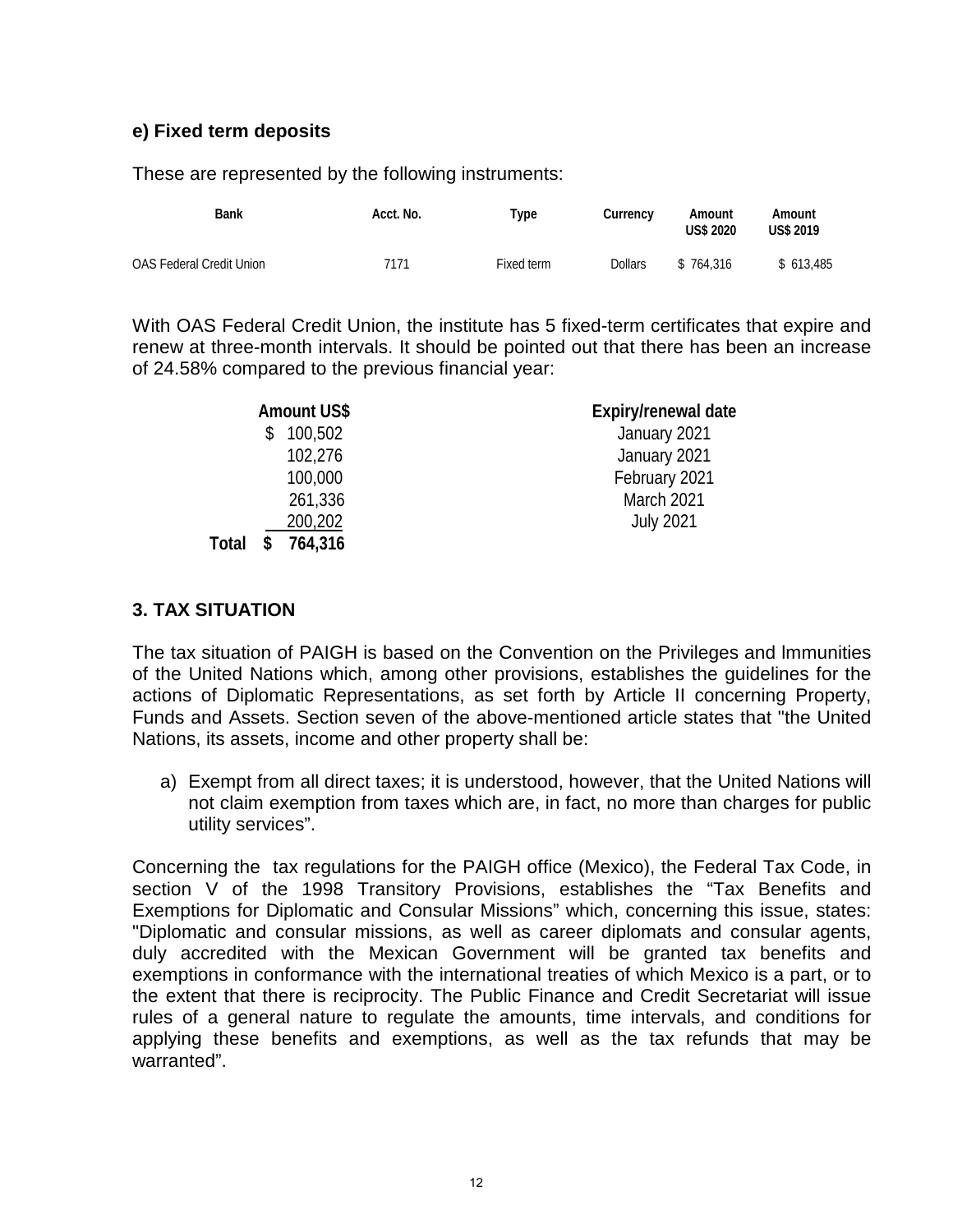# **e) Fixed term deposits**

These are represented by the following instruments:

| Bank                            | Acct. No. | Туре       | Currency       | Amount<br><b>US\$ 2020</b> | Amount<br><b>US\$ 2019</b> |
|---------------------------------|-----------|------------|----------------|----------------------------|----------------------------|
| <b>OAS Federal Credit Union</b> | 7171      | Fixed term | <b>Dollars</b> | \$764.316                  | \$613.485                  |

With OAS Federal Credit Union, the institute has 5 fixed-term certificates that expire and renew at three-month intervals. It should be pointed out that there has been an increase of 24.58% compared to the previous financial year:

|              | <b>Amount US\$</b> | Expiry/renewal date |
|--------------|--------------------|---------------------|
|              | 100,502            | January 2021        |
|              | 102,276            | January 2021        |
|              | 100,000            | February 2021       |
|              | 261,336            | March 2021          |
|              | 200,202            | <b>July 2021</b>    |
| <b>Total</b> | 764,316            |                     |

#### **3. TAX SITUATION**

The tax situation of PAIGH is based on the Convention on the Privileges and lmmunities of the United Nations which, among other provisions, establishes the guidelines for the actions of Diplomatic Representations, as set forth by Article II concerning Property, Funds and Assets. Section seven of the above-mentioned article states that "the United Nations, its assets, income and other property shall be:

a) Exempt from all direct taxes; it is understood, however, that the United Nations will not claim exemption from taxes which are, in fact, no more than charges for public utility services".

Concerning the tax regulations for the PAIGH office (Mexico), the Federal Tax Code, in section V of the 1998 Transitory Provisions, establishes the "Tax Benefits and Exemptions for Diplomatic and Consular Missions" which, concerning this issue, states: "Diplomatic and consular missions, as well as career diplomats and consular agents, duly accredited with the Mexican Government will be granted tax benefits and exemptions in conformance with the international treaties of which Mexico is a part, or to the extent that there is reciprocity. The Public Finance and Credit Secretariat will issue rules of a general nature to regulate the amounts, time intervals, and conditions for applying these benefits and exemptions, as well as the tax refunds that may be warranted".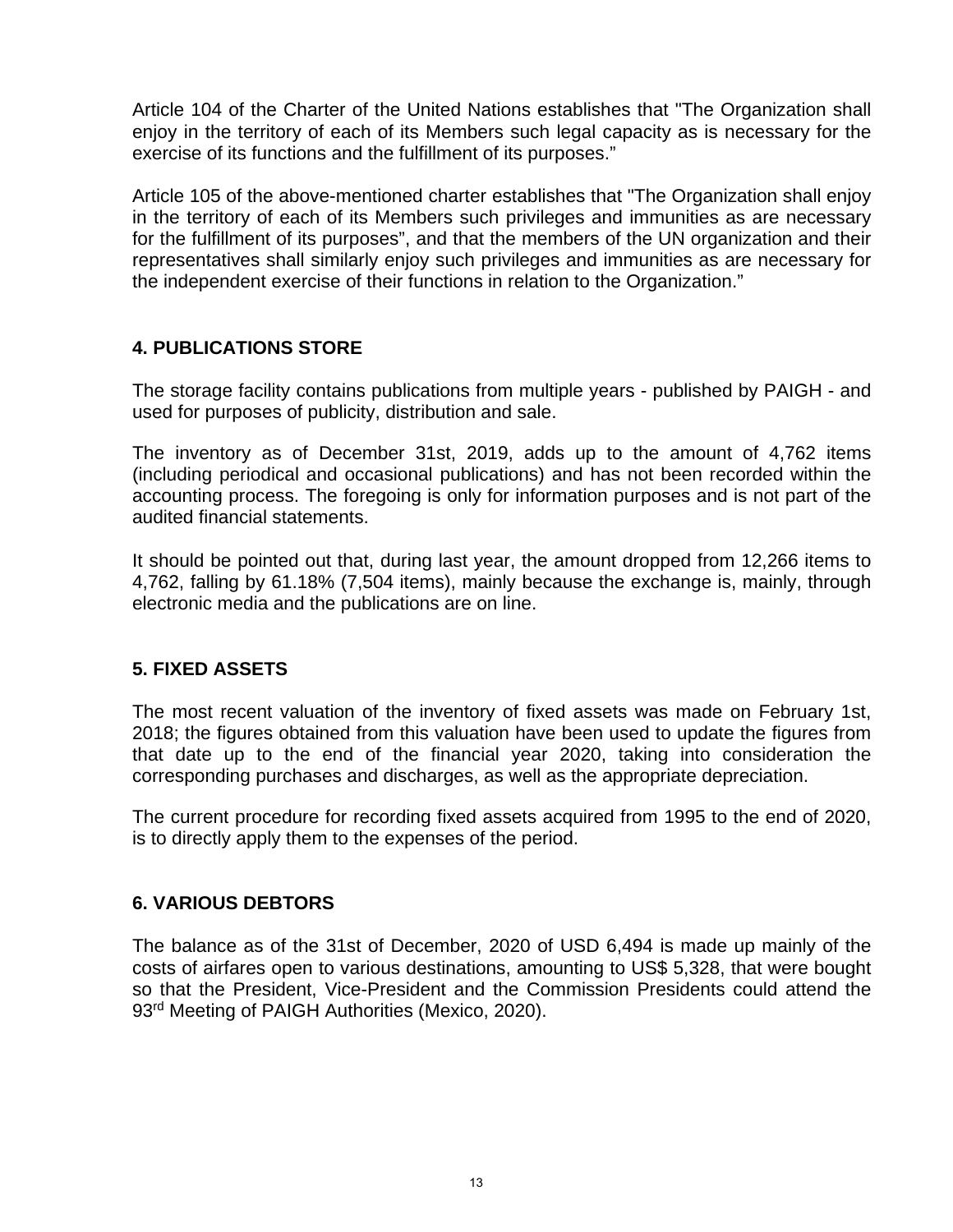Article 104 of the Charter of the United Nations establishes that "The Organization shall enjoy in the territory of each of its Members such legal capacity as is necessary for the exercise of its functions and the fulfillment of its purposes."

Article 105 of the above-mentioned charter establishes that "The Organization shall enjoy in the territory of each of its Members such privileges and immunities as are necessary for the fulfillment of its purposes", and that the members of the UN organization and their representatives shall similarly enjoy such privileges and immunities as are necessary for the independent exercise of their functions in relation to the Organization."

# **4. PUBLICATIONS STORE**

The storage facility contains publications from multiple years - published by PAIGH - and used for purposes of publicity, distribution and sale.

The inventory as of December 31st, 2019, adds up to the amount of 4,762 items (including periodical and occasional publications) and has not been recorded within the accounting process. The foregoing is only for information purposes and is not part of the audited financial statements.

It should be pointed out that, during last year, the amount dropped from 12,266 items to 4,762, falling by 61.18% (7,504 items), mainly because the exchange is, mainly, through electronic media and the publications are on line.

# **5. FIXED ASSETS**

The most recent valuation of the inventory of fixed assets was made on February 1st, 2018; the figures obtained from this valuation have been used to update the figures from that date up to the end of the financial year 2020, taking into consideration the corresponding purchases and discharges, as well as the appropriate depreciation.

The current procedure for recording fixed assets acquired from 1995 to the end of 2020, is to directly apply them to the expenses of the period.

#### **6. VARIOUS DEBTORS**

The balance as of the 31st of December, 2020 of USD 6,494 is made up mainly of the costs of airfares open to various destinations, amounting to US\$ 5,328, that were bought so that the President, Vice-President and the Commission Presidents could attend the 93<sup>rd</sup> Meeting of PAIGH Authorities (Mexico, 2020).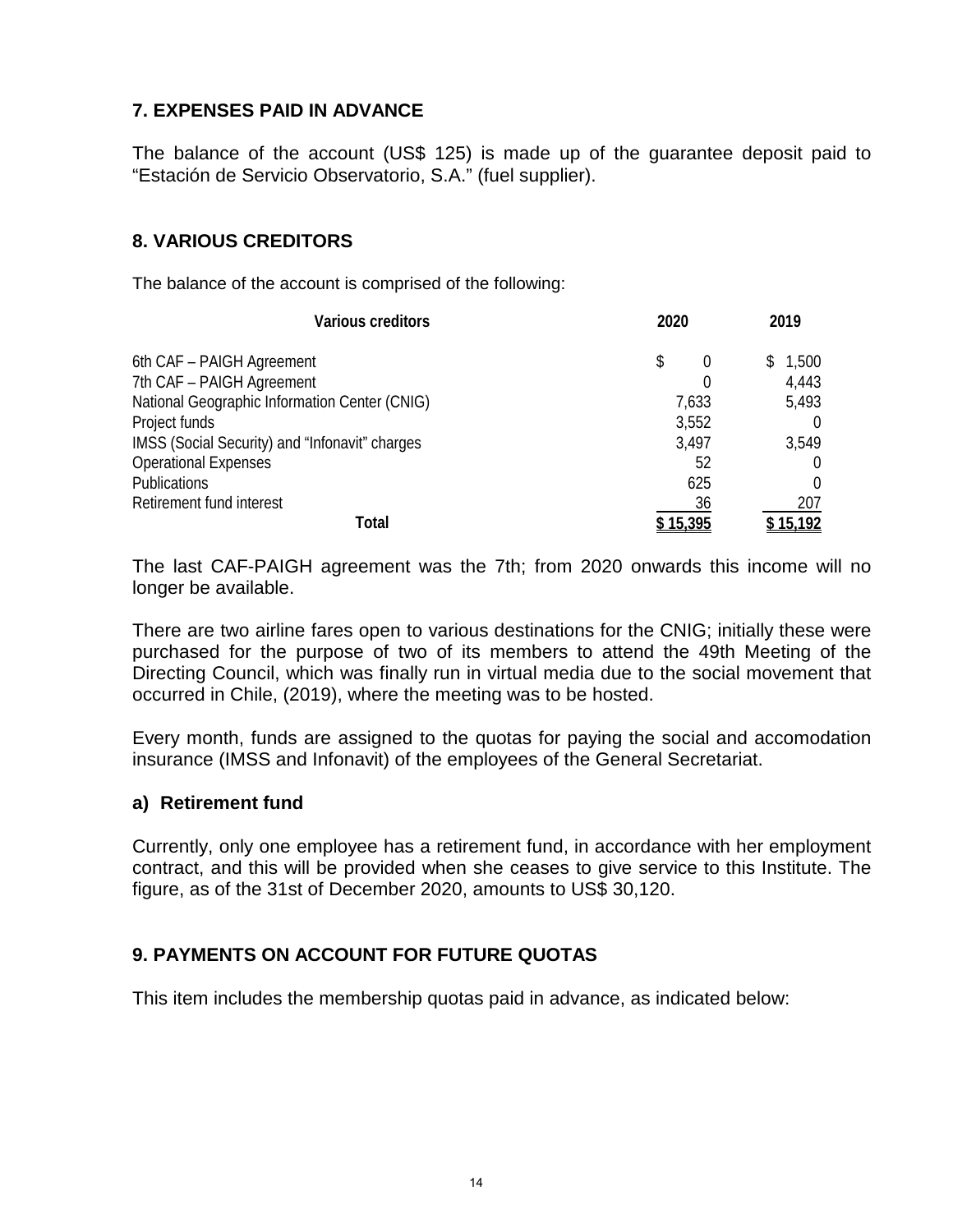# **7. EXPENSES PAID IN ADVANCE**

The balance of the account (US\$ 125) is made up of the guarantee deposit paid to "Estación de Servicio Observatorio, S.A." (fuel supplier).

# **8. VARIOUS CREDITORS**

The balance of the account is comprised of the following:

| Various creditors                              | 2020           | 2019        |
|------------------------------------------------|----------------|-------------|
| 6th CAF - PAIGH Agreement                      | \$<br>$\theta$ | 1,500<br>S. |
| 7th CAF - PAIGH Agreement                      |                | 4,443       |
| National Geographic Information Center (CNIG)  | 7,633          | 5,493       |
| Project funds                                  | 3,552          |             |
| IMSS (Social Security) and "Infonavit" charges | 3,497          | 3,549       |
| <b>Operational Expenses</b>                    | 52             |             |
| <b>Publications</b>                            | 625            | $\Omega$    |
| Retirement fund interest                       | 36             | 207         |
| Total                                          | 15,395         | 15,192      |

The last CAF-PAIGH agreement was the 7th; from 2020 onwards this income will no longer be available.

There are two airline fares open to various destinations for the CNIG; initially these were purchased for the purpose of two of its members to attend the 49th Meeting of the Directing Council, which was finally run in virtual media due to the social movement that occurred in Chile, (2019), where the meeting was to be hosted.

Every month, funds are assigned to the quotas for paying the social and accomodation insurance (IMSS and Infonavit) of the employees of the General Secretariat.

#### **a) Retirement fund**

Currently, only one employee has a retirement fund, in accordance with her employment contract, and this will be provided when she ceases to give service to this Institute. The figure, as of the 31st of December 2020, amounts to US\$ 30,120.

# **9. PAYMENTS ON ACCOUNT FOR FUTURE QUOTAS**

This item includes the membership quotas paid in advance, as indicated below: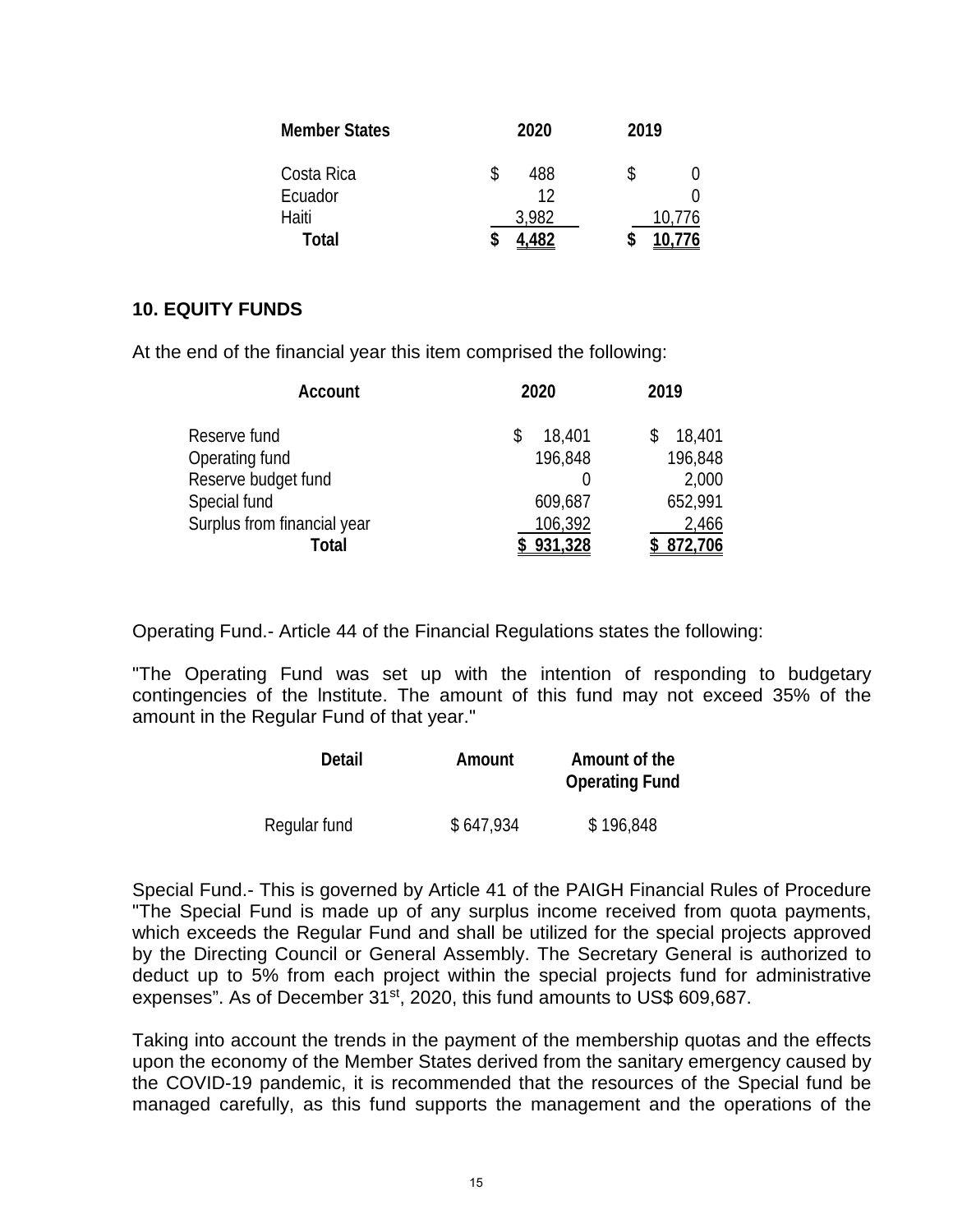| <b>Member States</b> |   | 2020  | 2019 |        |
|----------------------|---|-------|------|--------|
| Costa Rica           |   | 488   | \$   |        |
| Ecuador              |   | 12    |      |        |
| Haiti                |   | 3.982 |      | 10,776 |
| Total                | S |       |      |        |

#### **10. EQUITY FUNDS**

At the end of the financial year this item comprised the following:

| Account                     | 2020    | 2019      |
|-----------------------------|---------|-----------|
| Reserve fund                | 18,401  | 18,401    |
| Operating fund              | 196,848 | 196,848   |
| Reserve budget fund         |         | 2,000     |
| Special fund                | 609,687 | 652,991   |
| Surplus from financial year | 106,392 | 2,466     |
| Total                       | 931,328 | \$872,706 |

Operating Fund.- Article 44 of the Financial Regulations states the following:

"The Operating Fund was set up with the intention of responding to budgetary contingencies of the lnstitute. The amount of this fund may not exceed 35% of the amount in the Regular Fund of that year."

| Detail       | Amount    | Amount of the<br><b>Operating Fund</b> |
|--------------|-----------|----------------------------------------|
| Regular fund | \$647,934 | \$196,848                              |

Special Fund.- This is governed by Article 41 of the PAIGH Financial Rules of Procedure "The Special Fund is made up of any surplus income received from quota payments, which exceeds the Regular Fund and shall be utilized for the special projects approved by the Directing Council or General Assembly. The Secretary General is authorized to deduct up to 5% from each project within the special projects fund for administrative expenses". As of December 31<sup>st</sup>, 2020, this fund amounts to US\$ 609,687.

Taking into account the trends in the payment of the membership quotas and the effects upon the economy of the Member States derived from the sanitary emergency caused by the COVID-19 pandemic, it is recommended that the resources of the Special fund be managed carefully, as this fund supports the management and the operations of the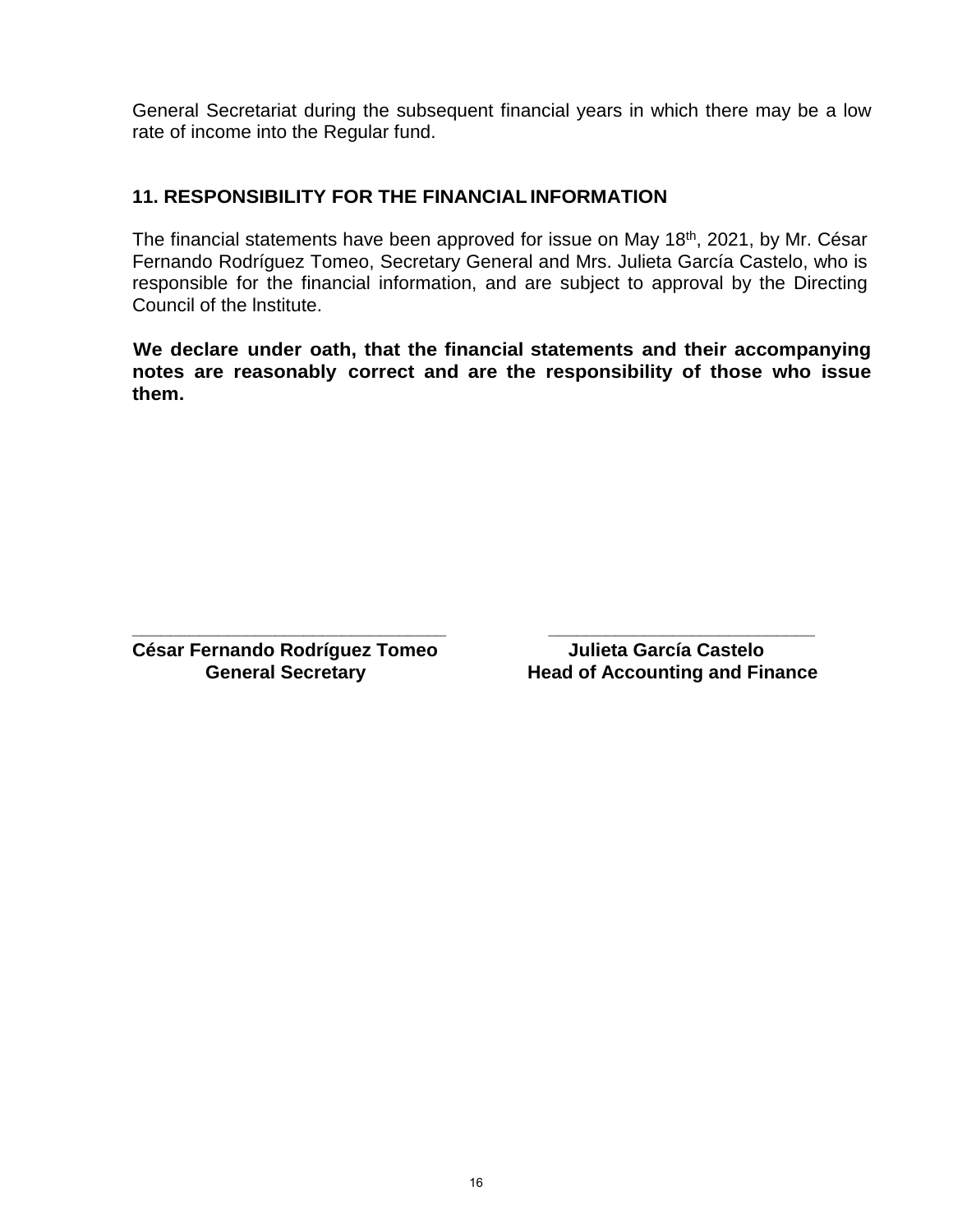General Secretariat during the subsequent financial years in which there may be a low rate of income into the Regular fund.

# **11. RESPONSIBILITY FOR THE FINANCIALINFORMATION**

The financial statements have been approved for issue on May 18th, 2021, by Mr. César Fernando Rodríguez Tomeo, Secretary General and Mrs. Julieta García Castelo, who is responsible for the financial information, and are subject to approval by the Directing Council of the lnstitute.

**We declare under oath, that the financial statements and their accompanying notes are reasonably correct and are the responsibility of those who issue them.**

**César Fernando Rodríguez Tomeo Julieta García Castelo**

**\_\_\_\_\_\_\_\_\_\_\_\_\_\_\_\_\_\_\_\_\_\_\_\_\_\_\_\_\_\_\_\_\_ \_\_\_\_\_\_\_\_\_\_\_\_\_\_\_\_\_\_\_\_\_\_\_\_\_\_\_\_ Head of Accounting and Finance**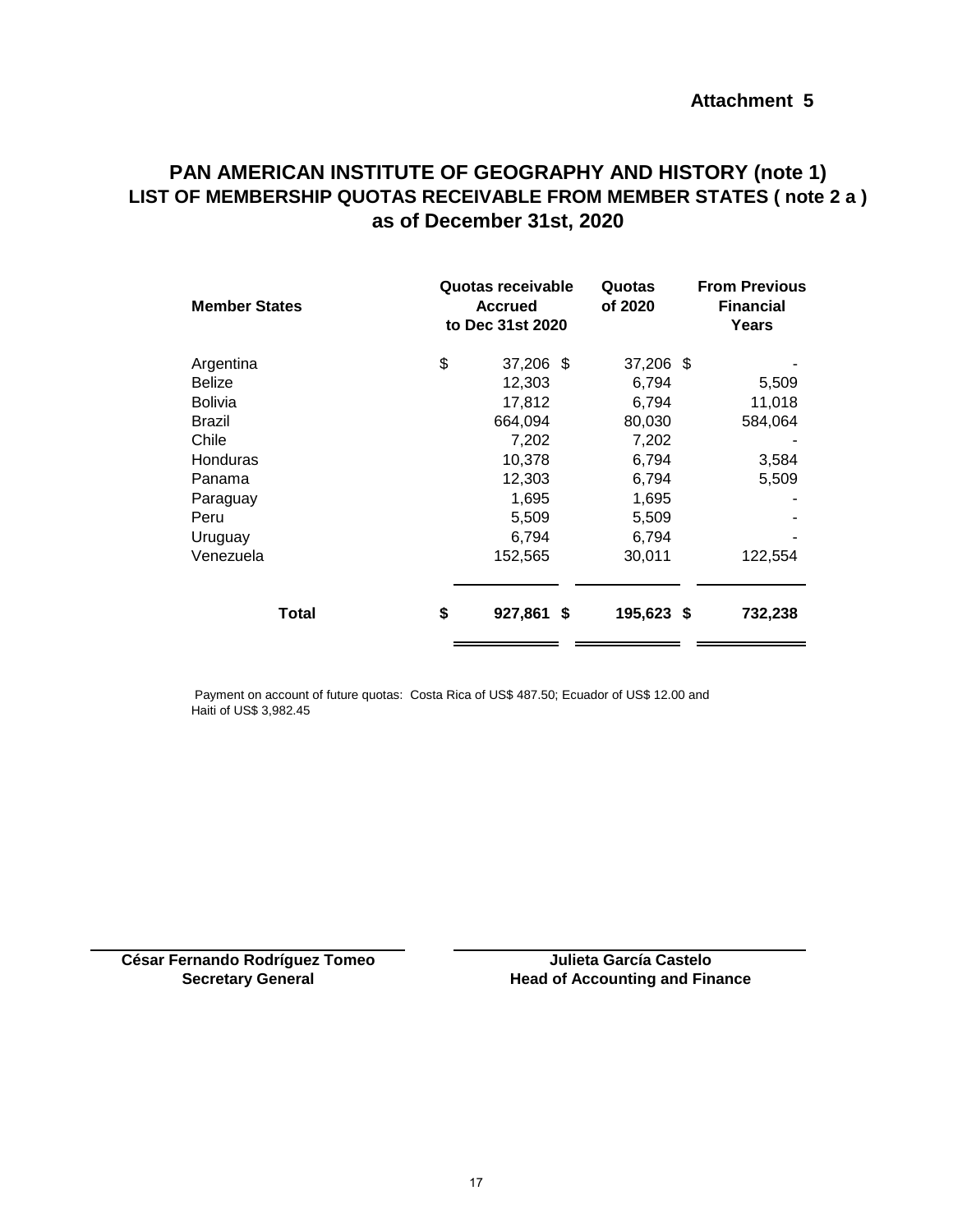# <span id="page-17-0"></span>**PAN AMERICAN INSTITUTE OF GEOGRAPHY AND HISTORY (note 1) LIST OF MEMBERSHIP QUOTAS RECEIVABLE FROM MEMBER STATES ( note 2 a ) as of December 31st, 2020**

| <b>Member States</b> | Quotas receivable<br><b>Accrued</b><br>to Dec 31st 2020 | Quotas<br>of 2020 | <b>From Previous</b><br><b>Financial</b><br>Years |
|----------------------|---------------------------------------------------------|-------------------|---------------------------------------------------|
| Argentina            | \$<br>37,206 \$                                         | 37,206 \$         |                                                   |
| Belize               | 12,303                                                  | 6,794             | 5,509                                             |
| Bolivia              | 17,812                                                  | 6,794             | 11,018                                            |
| Brazil               | 664,094                                                 | 80,030            | 584,064                                           |
| Chile                | 7,202                                                   | 7,202             |                                                   |
| Honduras             | 10,378                                                  | 6,794             | 3,584                                             |
| Panama               | 12,303                                                  | 6,794             | 5,509                                             |
| Paraguay             | 1,695                                                   | 1,695             |                                                   |
| Peru                 | 5,509                                                   | 5,509             |                                                   |
| Uruguay              | 6,794                                                   | 6,794             |                                                   |
| Venezuela            | 152,565                                                 | 30,011            | 122,554                                           |
| <b>Total</b>         | \$<br>927,861 \$                                        | 195,623 \$        | 732,238                                           |

 Payment on account of future quotas: Costa Rica of US\$ 487.50; Ecuador of US\$ 12.00 and Haiti of US\$ 3,982.45

**César Fernando Rodríguez Tomeo Secretary General**

**Head of Accounting and Finance Julieta García Castelo**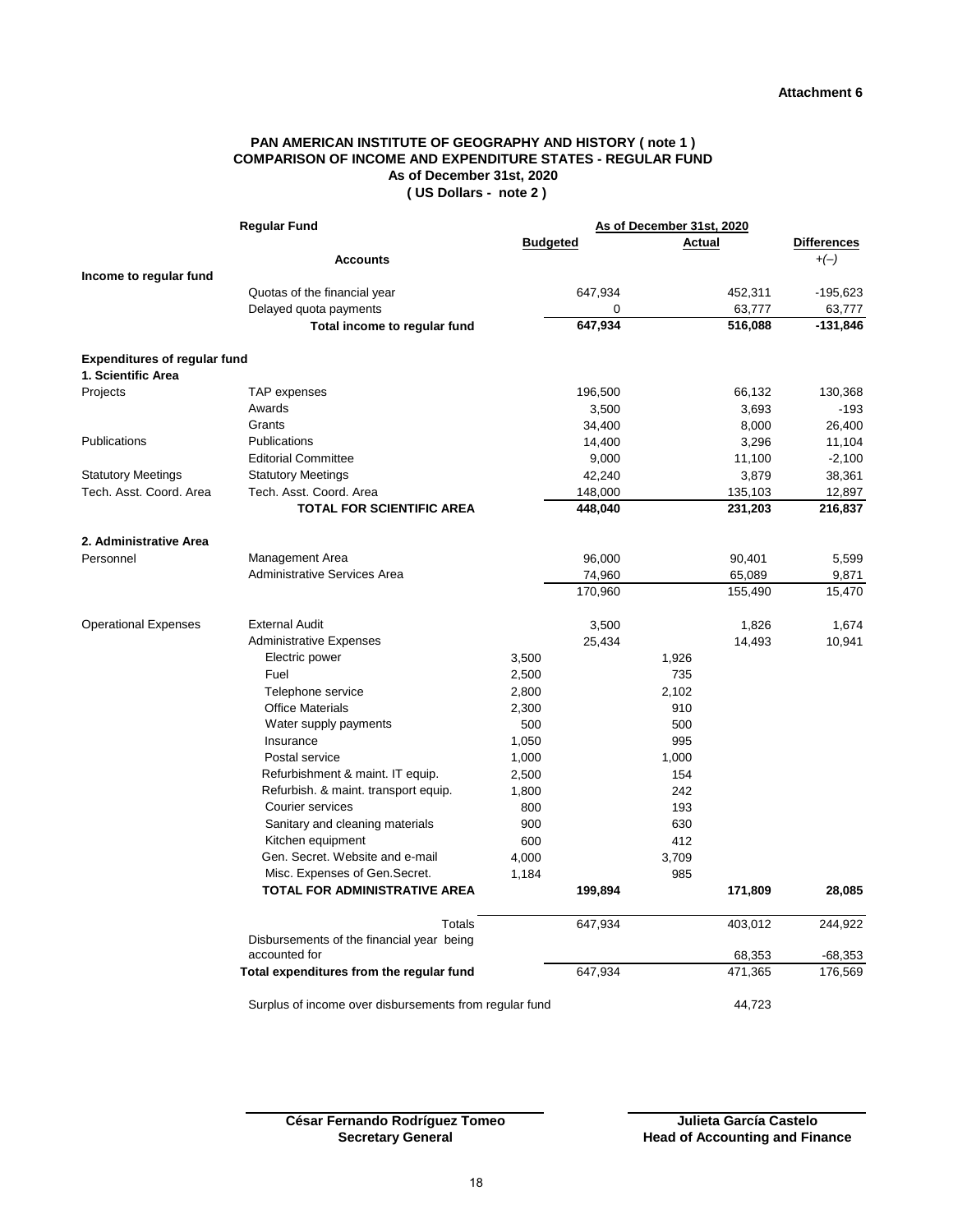#### **PAN AMERICAN INSTITUTE OF GEOGRAPHY AND HISTORY ( note 1 ) COMPARISON OF INCOME AND EXPENDITURE STATES - REGULAR FUND As of December 31st, 2020 ( US Dollars - note 2 )**

<span id="page-18-0"></span>

| <b>Regular Fund</b>                 |                                                        | As of December 31st, 2020 |         |        |         |                    |
|-------------------------------------|--------------------------------------------------------|---------------------------|---------|--------|---------|--------------------|
|                                     |                                                        | <b>Budgeted</b>           |         | Actual |         | <b>Differences</b> |
|                                     | <b>Accounts</b>                                        |                           |         |        |         | $+(-)$             |
| Income to regular fund              |                                                        |                           |         |        |         |                    |
|                                     | Quotas of the financial year                           |                           | 647,934 |        | 452,311 | $-195,623$         |
|                                     | Delayed quota payments                                 |                           | 0       |        | 63,777  | 63,777             |
|                                     | Total income to regular fund                           |                           | 647,934 |        | 516,088 | $-131,846$         |
| <b>Expenditures of regular fund</b> |                                                        |                           |         |        |         |                    |
| 1. Scientific Area                  |                                                        |                           |         |        |         |                    |
| Projects                            | TAP expenses                                           |                           | 196,500 |        | 66,132  | 130,368            |
|                                     | Awards                                                 |                           | 3,500   |        | 3,693   | $-193$             |
|                                     | Grants                                                 |                           | 34,400  |        | 8,000   | 26,400             |
| Publications                        | Publications                                           |                           | 14,400  |        | 3,296   | 11,104             |
|                                     | <b>Editorial Committee</b>                             |                           | 9,000   |        | 11,100  | $-2,100$           |
| <b>Statutory Meetings</b>           | <b>Statutory Meetings</b>                              |                           | 42,240  |        | 3,879   | 38,361             |
| Tech. Asst. Coord. Area             | Tech. Asst. Coord. Area                                |                           | 148,000 |        | 135,103 | 12,897             |
|                                     | <b>TOTAL FOR SCIENTIFIC AREA</b>                       |                           | 448,040 |        | 231,203 | 216,837            |
| 2. Administrative Area              |                                                        |                           |         |        |         |                    |
| Personnel                           | Management Area                                        |                           | 96,000  |        | 90,401  | 5,599              |
|                                     | <b>Administrative Services Area</b>                    |                           | 74,960  |        | 65,089  | 9,871              |
|                                     |                                                        |                           | 170,960 |        | 155,490 | 15,470             |
| <b>Operational Expenses</b>         | <b>External Audit</b>                                  |                           | 3,500   |        | 1,826   | 1,674              |
|                                     | <b>Administrative Expenses</b>                         |                           | 25,434  |        | 14,493  | 10,941             |
|                                     | Electric power                                         | 3,500                     |         | 1,926  |         |                    |
|                                     | Fuel                                                   | 2,500                     |         | 735    |         |                    |
|                                     | Telephone service                                      | 2,800                     |         | 2,102  |         |                    |
|                                     | <b>Office Materials</b>                                | 2,300                     |         | 910    |         |                    |
|                                     | Water supply payments                                  | 500                       |         | 500    |         |                    |
|                                     | Insurance                                              | 1,050                     |         | 995    |         |                    |
|                                     | Postal service                                         | 1,000                     |         | 1,000  |         |                    |
|                                     | Refurbishment & maint. IT equip.                       | 2,500                     |         | 154    |         |                    |
|                                     | Refurbish. & maint. transport equip.                   | 1,800                     |         | 242    |         |                    |
|                                     | Courier services                                       | 800                       |         | 193    |         |                    |
|                                     | Sanitary and cleaning materials                        | 900                       |         | 630    |         |                    |
|                                     | Kitchen equipment                                      | 600                       |         | 412    |         |                    |
|                                     | Gen. Secret. Website and e-mail                        | 4,000                     |         | 3,709  |         |                    |
|                                     | Misc. Expenses of Gen.Secret.                          | 1,184                     |         | 985    |         |                    |
|                                     | <b>TOTAL FOR ADMINISTRATIVE AREA</b>                   |                           | 199,894 |        | 171,809 | 28,085             |
|                                     | Totals                                                 |                           | 647,934 |        | 403,012 | 244,922            |
|                                     | Disbursements of the financial year being              |                           |         |        |         |                    |
| accounted for                       |                                                        |                           |         |        | 68,353  | $-68,353$          |
|                                     | Total expenditures from the regular fund               |                           | 647,934 |        | 471,365 | 176,569            |
|                                     | Surplus of income over disbursements from regular fund |                           |         |        | 44,723  |                    |

**César Fernando Rodríguez Tomeo Secretary General**